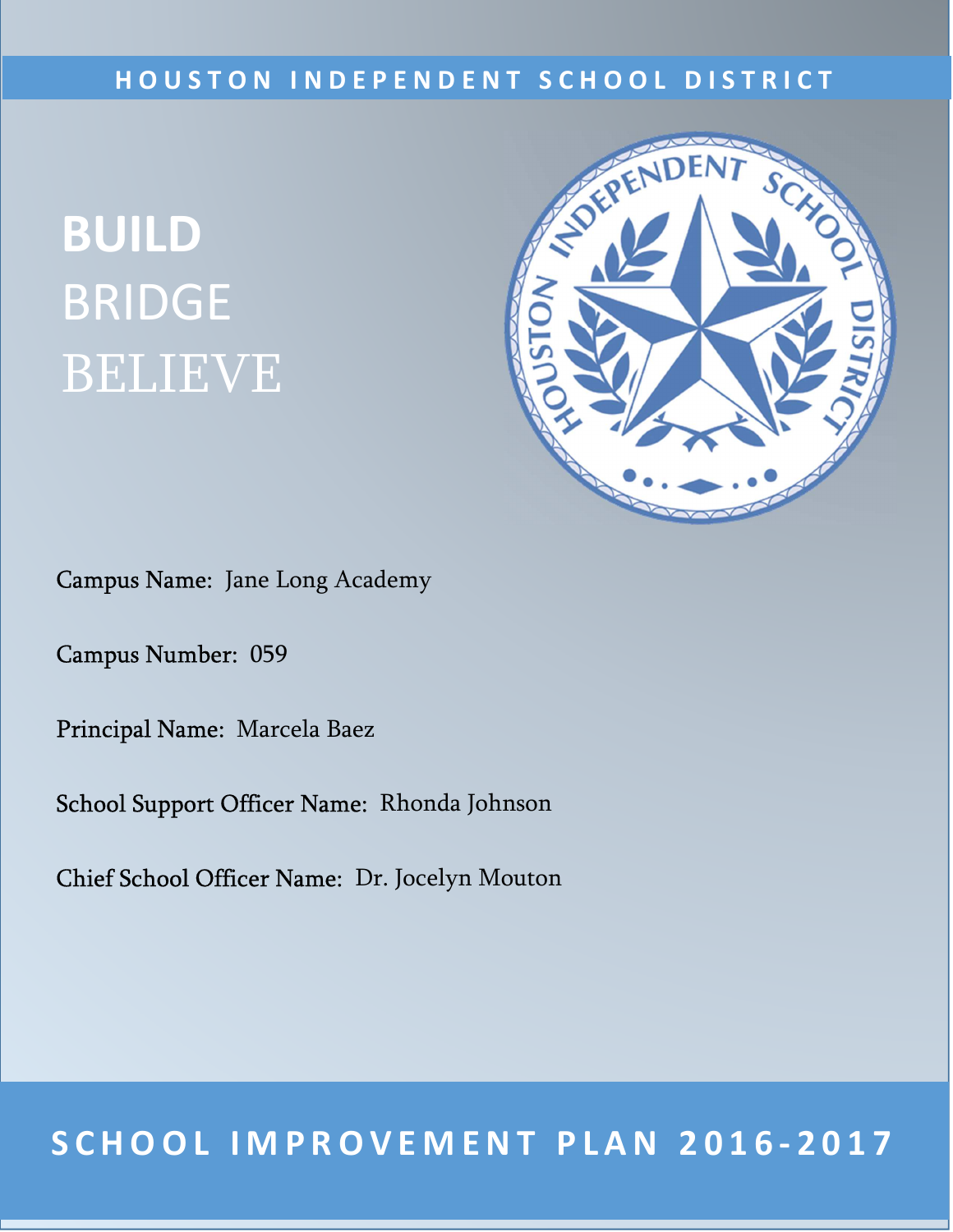### **H O U S T O N I N D E P E N D E N T S C H O O L D I S T R I C T**

# **BUILD** BRIDGE BELIEVE



Campus Name: Jane Long Academy

Campus Number: 059

Principal Name: Marcela Baez

School Support Officer Name: Rhonda Johnson

Chief School Officer Name: Dr. Jocelyn Mouton

### 1 **S C H O O L I M P R O V E M E N T P L A N 2 0 1 6 - 2 0 1 7**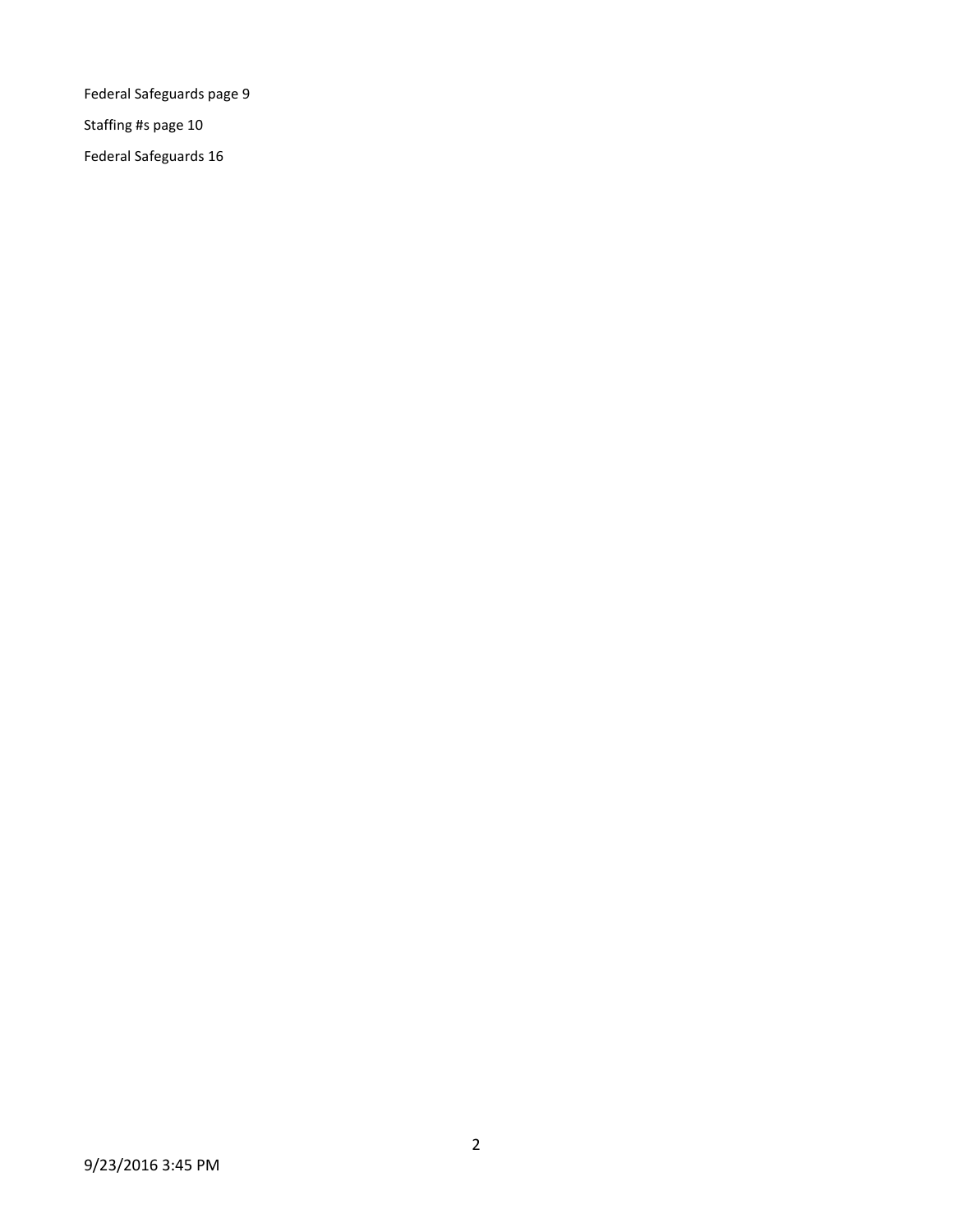Federal Safeguards page 9

Staffing #s page 10

Federal Safeguards 16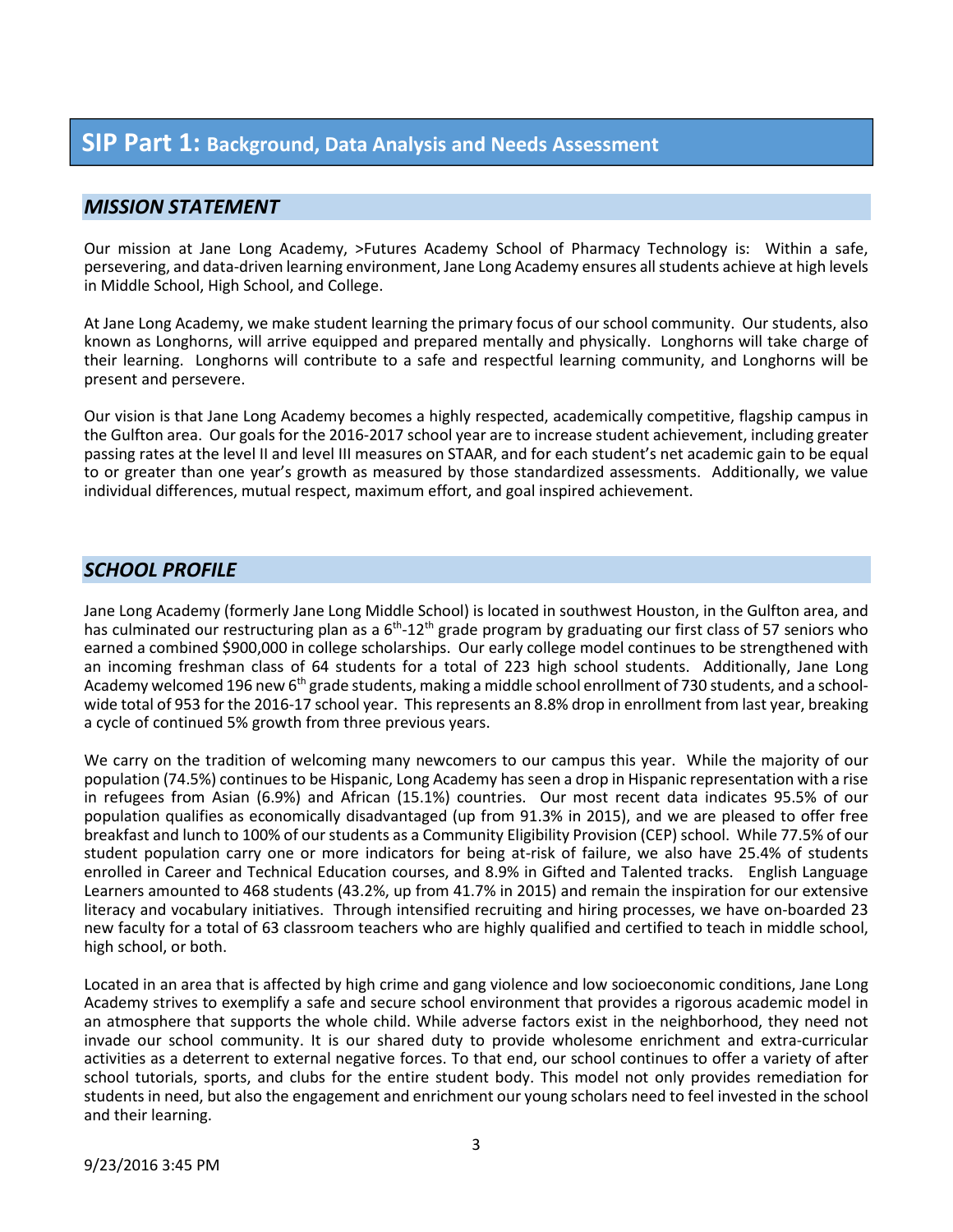### **SIP Part 1: Background, Data Analysis and Needs Assessment**

### *MISSION STATEMENT*

Our mission at Jane Long Academy, >Futures Academy School of Pharmacy Technology is: Within a safe, persevering, and data-driven learning environment, Jane Long Academy ensures all students achieve at high levels in Middle School, High School, and College.

At Jane Long Academy, we make student learning the primary focus of our school community. Our students, also known as Longhorns, will arrive equipped and prepared mentally and physically. Longhorns will take charge of their learning. Longhorns will contribute to a safe and respectful learning community, and Longhorns will be present and persevere.

Our vision is that Jane Long Academy becomes a highly respected, academically competitive, flagship campus in the Gulfton area. Our goals for the 2016-2017 school year are to increase student achievement, including greater passing rates at the level II and level III measures on STAAR, and for each student's net academic gain to be equal to or greater than one year's growth as measured by those standardized assessments. Additionally, we value individual differences, mutual respect, maximum effort, and goal inspired achievement.

### *SCHOOL PROFILE*

Jane Long Academy (formerly Jane Long Middle School) is located in southwest Houston, in the Gulfton area, and has culminated our restructuring plan as a  $6<sup>th</sup> - 12<sup>th</sup>$  grade program by graduating our first class of 57 seniors who earned a combined \$900,000 in college scholarships. Our early college model continues to be strengthened with an incoming freshman class of 64 students for a total of 223 high school students. Additionally, Jane Long Academy welcomed 196 new 6<sup>th</sup> grade students, making a middle school enrollment of 730 students, and a schoolwide total of 953 for the 2016-17 school year. This represents an 8.8% drop in enrollment from last year, breaking a cycle of continued 5% growth from three previous years.

We carry on the tradition of welcoming many newcomers to our campus this year. While the majority of our population (74.5%) continues to be Hispanic, Long Academy has seen a drop in Hispanic representation with a rise in refugees from Asian (6.9%) and African (15.1%) countries. Our most recent data indicates 95.5% of our population qualifies as economically disadvantaged (up from 91.3% in 2015), and we are pleased to offer free breakfast and lunch to 100% of our students as a Community Eligibility Provision (CEP) school. While 77.5% of our student population carry one or more indicators for being at-risk of failure, we also have 25.4% of students enrolled in Career and Technical Education courses, and 8.9% in Gifted and Talented tracks. English Language Learners amounted to 468 students (43.2%, up from 41.7% in 2015) and remain the inspiration for our extensive literacy and vocabulary initiatives. Through intensified recruiting and hiring processes, we have on-boarded 23 new faculty for a total of 63 classroom teachers who are highly qualified and certified to teach in middle school, high school, or both.

Located in an area that is affected by high crime and gang violence and low socioeconomic conditions, Jane Long Academy strives to exemplify a safe and secure school environment that provides a rigorous academic model in an atmosphere that supports the whole child. While adverse factors exist in the neighborhood, they need not invade our school community. It is our shared duty to provide wholesome enrichment and extra-curricular activities as a deterrent to external negative forces. To that end, our school continues to offer a variety of after school tutorials, sports, and clubs for the entire student body. This model not only provides remediation for students in need, but also the engagement and enrichment our young scholars need to feel invested in the school and their learning.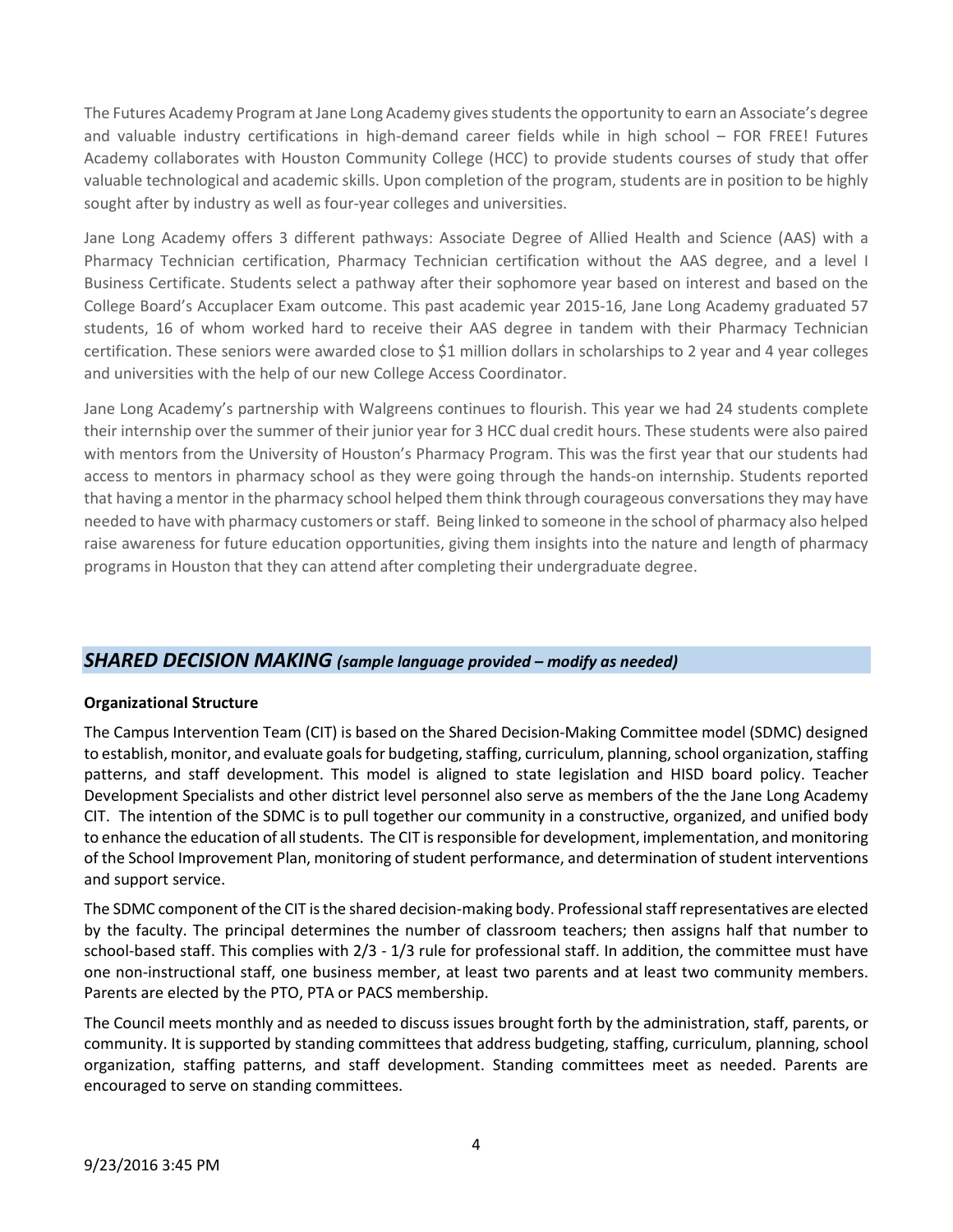The Futures Academy Program at Jane Long Academy gives students the opportunity to earn an Associate's degree and valuable industry certifications in high-demand career fields while in high school – FOR FREE! Futures Academy collaborates with Houston Community College (HCC) to provide students courses of study that offer valuable technological and academic skills. Upon completion of the program, students are in position to be highly sought after by industry as well as four-year colleges and universities.

Jane Long Academy offers 3 different pathways: Associate Degree of Allied Health and Science (AAS) with a Pharmacy Technician certification, Pharmacy Technician certification without the AAS degree, and a level I Business Certificate. Students select a pathway after their sophomore year based on interest and based on the College Board's Accuplacer Exam outcome. This past academic year 2015-16, Jane Long Academy graduated 57 students, 16 of whom worked hard to receive their AAS degree in tandem with their Pharmacy Technician certification. These seniors were awarded close to \$1 million dollars in scholarships to 2 year and 4 year colleges and universities with the help of our new College Access Coordinator.

Jane Long Academy's partnership with Walgreens continues to flourish. This year we had 24 students complete their internship over the summer of their junior year for 3 HCC dual credit hours. These students were also paired with mentors from the University of Houston's Pharmacy Program. This was the first year that our students had access to mentors in pharmacy school as they were going through the hands-on internship. Students reported that having a mentor in the pharmacy school helped them think through courageous conversations they may have needed to have with pharmacy customers or staff. Being linked to someone in the school of pharmacy also helped raise awareness for future education opportunities, giving them insights into the nature and length of pharmacy programs in Houston that they can attend after completing their undergraduate degree.

### *SHARED DECISION MAKING (sample language provided – modify as needed)*

### **Organizational Structure**

The Campus Intervention Team (CIT) is based on the Shared Decision-Making Committee model (SDMC) designed to establish, monitor, and evaluate goals for budgeting, staffing, curriculum, planning, school organization, staffing patterns, and staff development. This model is aligned to state legislation and HISD board policy. Teacher Development Specialists and other district level personnel also serve as members of the the Jane Long Academy CIT. The intention of the SDMC is to pull together our community in a constructive, organized, and unified body to enhance the education of all students. The CIT is responsible for development, implementation, and monitoring of the School Improvement Plan, monitoring of student performance, and determination of student interventions and support service.

The SDMC component of the CIT is the shared decision-making body. Professional staff representatives are elected by the faculty. The principal determines the number of classroom teachers; then assigns half that number to school-based staff. This complies with 2/3 - 1/3 rule for professional staff. In addition, the committee must have one non-instructional staff, one business member, at least two parents and at least two community members. Parents are elected by the PTO, PTA or PACS membership.

The Council meets monthly and as needed to discuss issues brought forth by the administration, staff, parents, or community. It is supported by standing committees that address budgeting, staffing, curriculum, planning, school organization, staffing patterns, and staff development. Standing committees meet as needed. Parents are encouraged to serve on standing committees.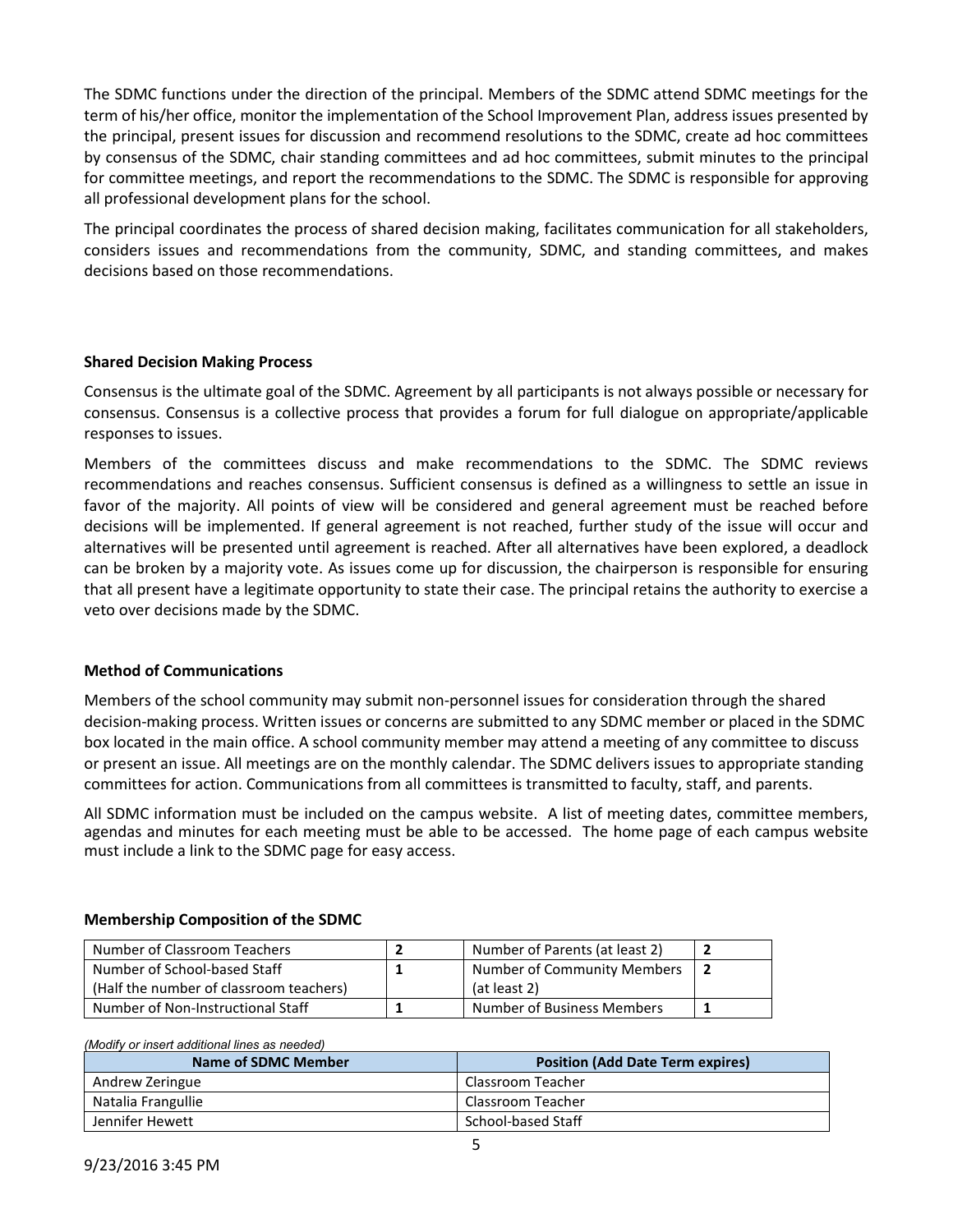The SDMC functions under the direction of the principal. Members of the SDMC attend SDMC meetings for the term of his/her office, monitor the implementation of the School Improvement Plan, address issues presented by the principal, present issues for discussion and recommend resolutions to the SDMC, create ad hoc committees by consensus of the SDMC, chair standing committees and ad hoc committees, submit minutes to the principal for committee meetings, and report the recommendations to the SDMC. The SDMC is responsible for approving all professional development plans for the school.

The principal coordinates the process of shared decision making, facilitates communication for all stakeholders, considers issues and recommendations from the community, SDMC, and standing committees, and makes decisions based on those recommendations.

### **Shared Decision Making Process**

Consensus is the ultimate goal of the SDMC. Agreement by all participants is not always possible or necessary for consensus. Consensus is a collective process that provides a forum for full dialogue on appropriate/applicable responses to issues.

Members of the committees discuss and make recommendations to the SDMC. The SDMC reviews recommendations and reaches consensus. Sufficient consensus is defined as a willingness to settle an issue in favor of the majority. All points of view will be considered and general agreement must be reached before decisions will be implemented. If general agreement is not reached, further study of the issue will occur and alternatives will be presented until agreement is reached. After all alternatives have been explored, a deadlock can be broken by a majority vote. As issues come up for discussion, the chairperson is responsible for ensuring that all present have a legitimate opportunity to state their case. The principal retains the authority to exercise a veto over decisions made by the SDMC.

### **Method of Communications**

Members of the school community may submit non-personnel issues for consideration through the shared decision-making process. Written issues or concerns are submitted to any SDMC member or placed in the SDMC box located in the main office. A school community member may attend a meeting of any committee to discuss or present an issue. All meetings are on the monthly calendar. The SDMC delivers issues to appropriate standing committees for action. Communications from all committees is transmitted to faculty, staff, and parents.

All SDMC information must be included on the campus website. A list of meeting dates, committee members, agendas and minutes for each meeting must be able to be accessed. The home page of each campus website must include a link to the SDMC page for easy access.

## **Membership Composition of the SDMC**

| Number of Classroom Teachers            | Number of Parents (at least 2) |  |
|-----------------------------------------|--------------------------------|--|
| Number of School-based Staff            | Number of Community Members    |  |
| (Half the number of classroom teachers) | (at least 2)                   |  |
| Number of Non-Instructional Staff       | Number of Business Members     |  |

#### *(Modify or insert additional lines as needed)*

| Name of SDMC Member | <b>Position (Add Date Term expires)</b> |
|---------------------|-----------------------------------------|
| Andrew Zeringue     | Classroom Teacher                       |
| Natalia Frangullie  | Classroom Teacher                       |
| Jennifer Hewett     | School-based Staff                      |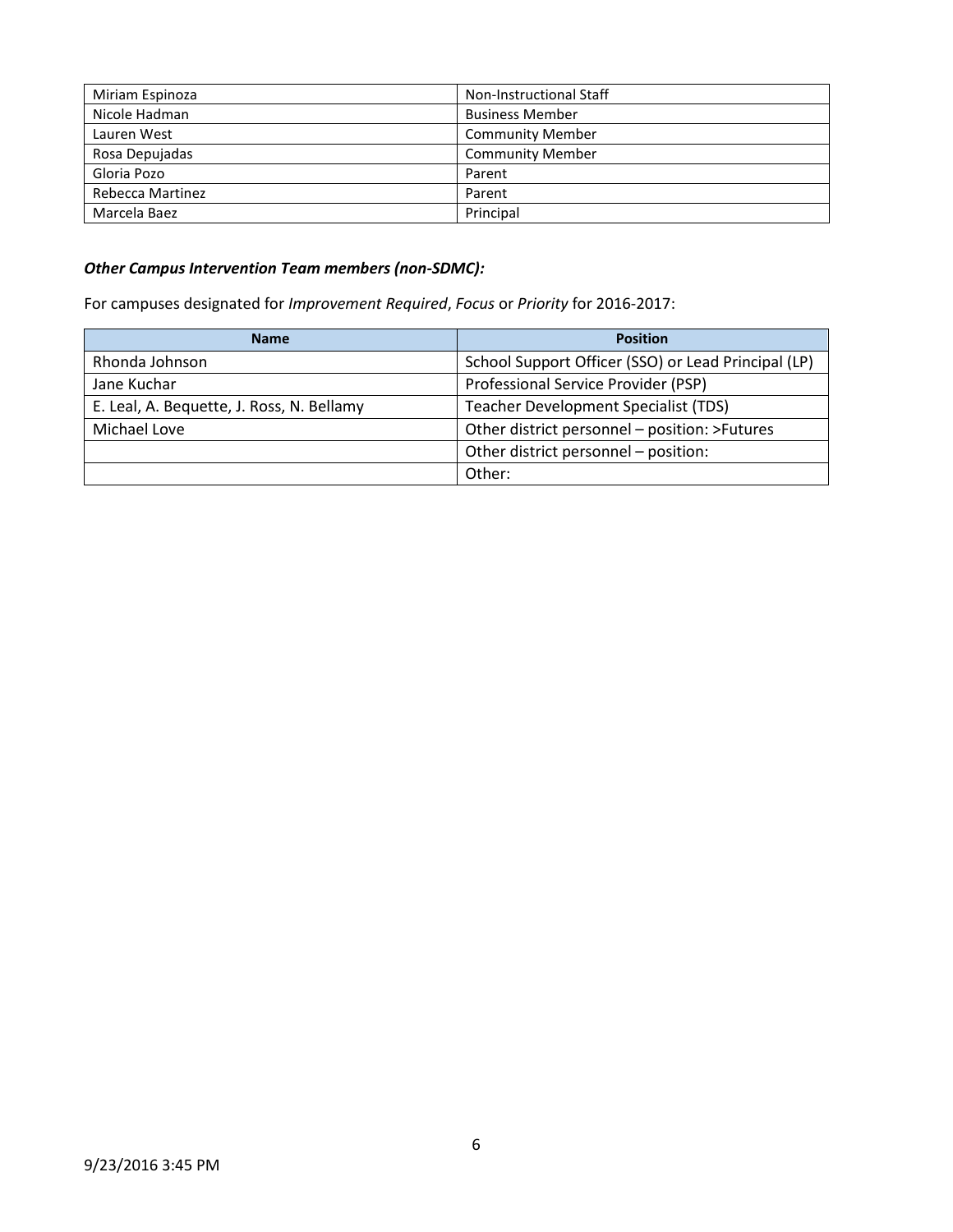| Miriam Espinoza  | <b>Non-Instructional Staff</b> |
|------------------|--------------------------------|
| Nicole Hadman    | <b>Business Member</b>         |
| Lauren West      | <b>Community Member</b>        |
| Rosa Depujadas   | <b>Community Member</b>        |
| Gloria Pozo      | Parent                         |
| Rebecca Martinez | Parent                         |
| Marcela Baez     | Principal                      |

### *Other Campus Intervention Team members (non-SDMC):*

For campuses designated for *Improvement Required*, *Focus* or *Priority* for 2016-2017:

| <b>Name</b>                               | <b>Position</b>                                     |  |
|-------------------------------------------|-----------------------------------------------------|--|
| Rhonda Johnson                            | School Support Officer (SSO) or Lead Principal (LP) |  |
| Jane Kuchar                               | Professional Service Provider (PSP)                 |  |
| E. Leal, A. Bequette, J. Ross, N. Bellamy | <b>Teacher Development Specialist (TDS)</b>         |  |
| Michael Love                              | Other district personnel - position: >Futures       |  |
|                                           | Other district personnel - position:                |  |
|                                           | Other:                                              |  |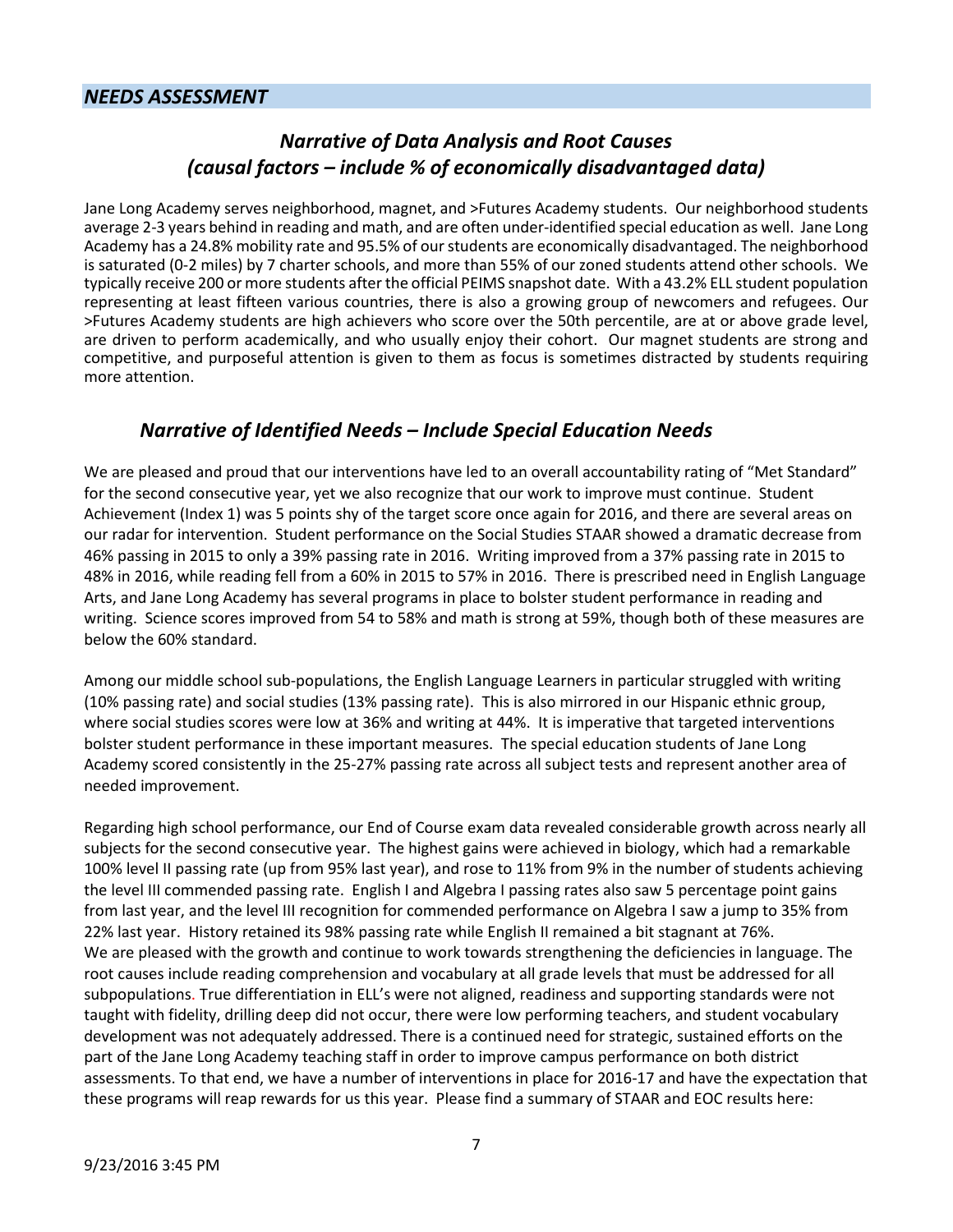### *NEEDS ASSESSMENT*

### *Narrative of Data Analysis and Root Causes (causal factors – include % of economically disadvantaged data)*

Jane Long Academy serves neighborhood, magnet, and >Futures Academy students. Our neighborhood students average 2-3 years behind in reading and math, and are often under-identified special education as well. Jane Long Academy has a 24.8% mobility rate and 95.5% of our students are economically disadvantaged. The neighborhood is saturated (0-2 miles) by 7 charter schools, and more than 55% of our zoned students attend other schools. We typically receive 200 or more students after the official PEIMS snapshot date. With a 43.2% ELL student population representing at least fifteen various countries, there is also a growing group of newcomers and refugees. Our >Futures Academy students are high achievers who score over the 50th percentile, are at or above grade level, are driven to perform academically, and who usually enjoy their cohort. Our magnet students are strong and competitive, and purposeful attention is given to them as focus is sometimes distracted by students requiring more attention.

### *Narrative of Identified Needs – Include Special Education Needs*

We are pleased and proud that our interventions have led to an overall accountability rating of "Met Standard" for the second consecutive year, yet we also recognize that our work to improve must continue. Student Achievement (Index 1) was 5 points shy of the target score once again for 2016, and there are several areas on our radar for intervention. Student performance on the Social Studies STAAR showed a dramatic decrease from 46% passing in 2015 to only a 39% passing rate in 2016. Writing improved from a 37% passing rate in 2015 to 48% in 2016, while reading fell from a 60% in 2015 to 57% in 2016. There is prescribed need in English Language Arts, and Jane Long Academy has several programs in place to bolster student performance in reading and writing. Science scores improved from 54 to 58% and math is strong at 59%, though both of these measures are below the 60% standard.

Among our middle school sub-populations, the English Language Learners in particular struggled with writing (10% passing rate) and social studies (13% passing rate). This is also mirrored in our Hispanic ethnic group, where social studies scores were low at 36% and writing at 44%. It is imperative that targeted interventions bolster student performance in these important measures. The special education students of Jane Long Academy scored consistently in the 25-27% passing rate across all subject tests and represent another area of needed improvement.

Regarding high school performance, our End of Course exam data revealed considerable growth across nearly all subjects for the second consecutive year. The highest gains were achieved in biology, which had a remarkable 100% level II passing rate (up from 95% last year), and rose to 11% from 9% in the number of students achieving the level III commended passing rate. English I and Algebra I passing rates also saw 5 percentage point gains from last year, and the level III recognition for commended performance on Algebra I saw a jump to 35% from 22% last year. History retained its 98% passing rate while English II remained a bit stagnant at 76%. We are pleased with the growth and continue to work towards strengthening the deficiencies in language. The root causes include reading comprehension and vocabulary at all grade levels that must be addressed for all subpopulations. True differentiation in ELL's were not aligned, readiness and supporting standards were not taught with fidelity, drilling deep did not occur, there were low performing teachers, and student vocabulary development was not adequately addressed. There is a continued need for strategic, sustained efforts on the part of the Jane Long Academy teaching staff in order to improve campus performance on both district assessments. To that end, we have a number of interventions in place for 2016-17 and have the expectation that these programs will reap rewards for us this year. Please find a summary of STAAR and EOC results here: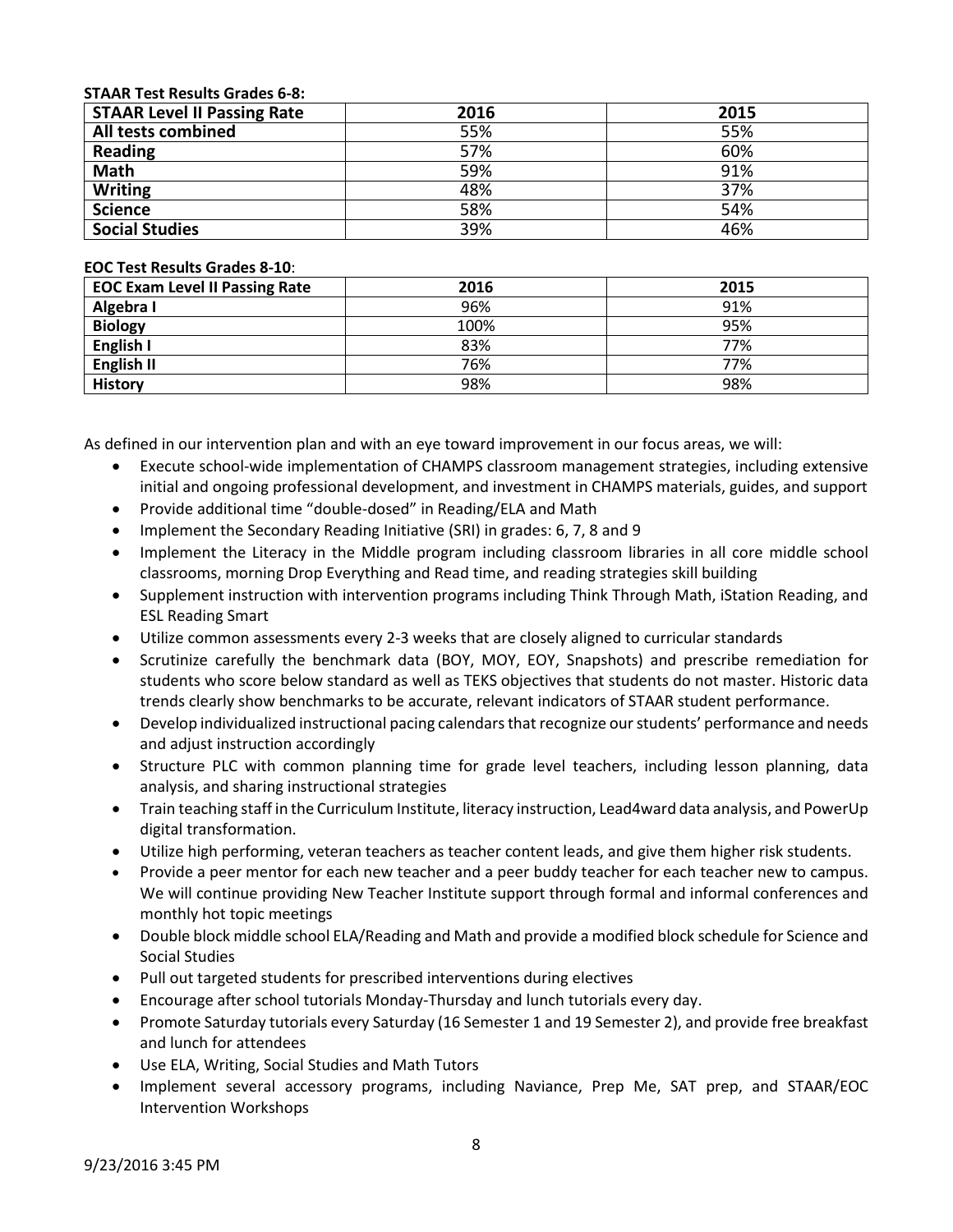#### **STAAR Test Results Grades 6-8:**

| <b>STAAR Level II Passing Rate</b> | 2016 | 2015 |
|------------------------------------|------|------|
| All tests combined                 | 55%  | 55%  |
| Reading                            | 57%  | 60%  |
| <b>Math</b>                        | 59%  | 91%  |
| <b>Writing</b>                     | 48%  | 37%  |
| <b>Science</b>                     | 58%  | 54%  |
| <b>Social Studies</b>              | 39%  | 46%  |

#### **EOC Test Results Grades 8-10**:

| <b>EOC Exam Level II Passing Rate</b> | 2016 | 2015 |
|---------------------------------------|------|------|
| Algebra I                             | 96%  | 91%  |
| <b>Biology</b>                        | 100% | 95%  |
| English I                             | 83%  | 77%  |
| <b>English II</b>                     | 76%  | 77%  |
| <b>History</b>                        | 98%  | 98%  |

As defined in our intervention plan and with an eye toward improvement in our focus areas, we will:

- Execute school-wide implementation of CHAMPS classroom management strategies, including extensive initial and ongoing professional development, and investment in CHAMPS materials, guides, and support
- Provide additional time "double-dosed" in Reading/ELA and Math
- Implement the Secondary Reading Initiative (SRI) in grades: 6, 7, 8 and 9
- Implement the Literacy in the Middle program including classroom libraries in all core middle school classrooms, morning Drop Everything and Read time, and reading strategies skill building
- Supplement instruction with intervention programs including Think Through Math, iStation Reading, and ESL Reading Smart
- Utilize common assessments every 2-3 weeks that are closely aligned to curricular standards
- Scrutinize carefully the benchmark data (BOY, MOY, EOY, Snapshots) and prescribe remediation for students who score below standard as well as TEKS objectives that students do not master. Historic data trends clearly show benchmarks to be accurate, relevant indicators of STAAR student performance.
- Develop individualized instructional pacing calendars that recognize our students' performance and needs and adjust instruction accordingly
- Structure PLC with common planning time for grade level teachers, including lesson planning, data analysis, and sharing instructional strategies
- Train teaching staff in the Curriculum Institute, literacy instruction, Lead4ward data analysis, and PowerUp digital transformation.
- Utilize high performing, veteran teachers as teacher content leads, and give them higher risk students.
- Provide a peer mentor for each new teacher and a peer buddy teacher for each teacher new to campus. We will continue providing New Teacher Institute support through formal and informal conferences and monthly hot topic meetings
- Double block middle school ELA/Reading and Math and provide a modified block schedule for Science and Social Studies
- Pull out targeted students for prescribed interventions during electives
- Encourage after school tutorials Monday-Thursday and lunch tutorials every day.
- Promote Saturday tutorials every Saturday (16 Semester 1 and 19 Semester 2), and provide free breakfast and lunch for attendees
- Use ELA, Writing, Social Studies and Math Tutors
- Implement several accessory programs, including Naviance, Prep Me, SAT prep, and STAAR/EOC Intervention Workshops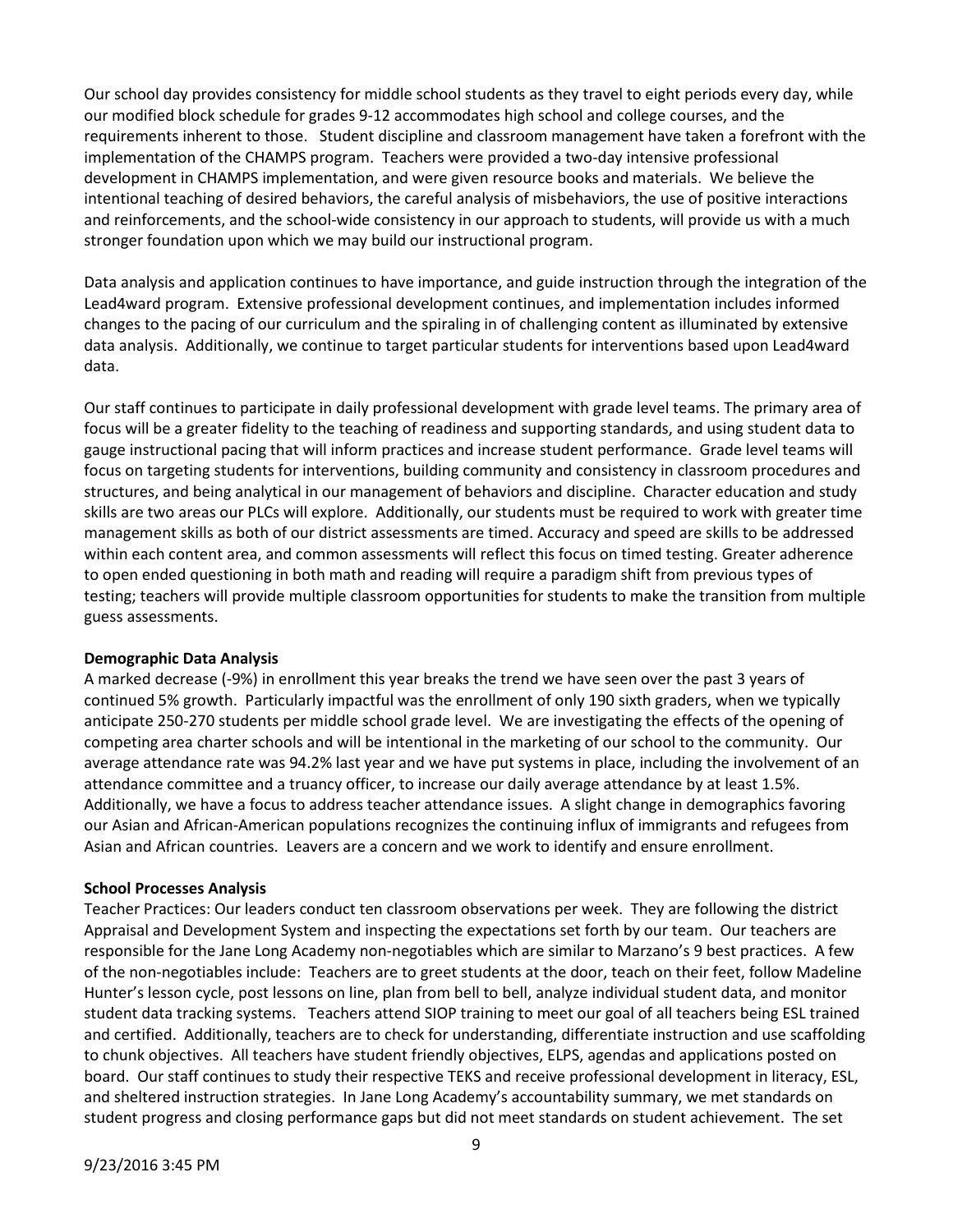Our school day provides consistency for middle school students as they travel to eight periods every day, while our modified block schedule for grades 9-12 accommodates high school and college courses, and the requirements inherent to those. Student discipline and classroom management have taken a forefront with the implementation of the CHAMPS program. Teachers were provided a two-day intensive professional development in CHAMPS implementation, and were given resource books and materials. We believe the intentional teaching of desired behaviors, the careful analysis of misbehaviors, the use of positive interactions and reinforcements, and the school-wide consistency in our approach to students, will provide us with a much stronger foundation upon which we may build our instructional program.

Data analysis and application continues to have importance, and guide instruction through the integration of the Lead4ward program. Extensive professional development continues, and implementation includes informed changes to the pacing of our curriculum and the spiraling in of challenging content as illuminated by extensive data analysis. Additionally, we continue to target particular students for interventions based upon Lead4ward data.

Our staff continues to participate in daily professional development with grade level teams. The primary area of focus will be a greater fidelity to the teaching of readiness and supporting standards, and using student data to gauge instructional pacing that will inform practices and increase student performance. Grade level teams will focus on targeting students for interventions, building community and consistency in classroom procedures and structures, and being analytical in our management of behaviors and discipline. Character education and study skills are two areas our PLCs will explore. Additionally, our students must be required to work with greater time management skills as both of our district assessments are timed. Accuracy and speed are skills to be addressed within each content area, and common assessments will reflect this focus on timed testing. Greater adherence to open ended questioning in both math and reading will require a paradigm shift from previous types of testing; teachers will provide multiple classroom opportunities for students to make the transition from multiple guess assessments.

### **Demographic Data Analysis**

A marked decrease (-9%) in enrollment this year breaks the trend we have seen over the past 3 years of continued 5% growth. Particularly impactful was the enrollment of only 190 sixth graders, when we typically anticipate 250-270 students per middle school grade level. We are investigating the effects of the opening of competing area charter schools and will be intentional in the marketing of our school to the community. Our average attendance rate was 94.2% last year and we have put systems in place, including the involvement of an attendance committee and a truancy officer, to increase our daily average attendance by at least 1.5%. Additionally, we have a focus to address teacher attendance issues. A slight change in demographics favoring our Asian and African-American populations recognizes the continuing influx of immigrants and refugees from Asian and African countries. Leavers are a concern and we work to identify and ensure enrollment.

#### **School Processes Analysis**

Teacher Practices: Our leaders conduct ten classroom observations per week. They are following the district Appraisal and Development System and inspecting the expectations set forth by our team. Our teachers are responsible for the Jane Long Academy non-negotiables which are similar to Marzano's 9 best practices. A few of the non-negotiables include: Teachers are to greet students at the door, teach on their feet, follow Madeline Hunter's lesson cycle, post lessons on line, plan from bell to bell, analyze individual student data, and monitor student data tracking systems. Teachers attend SIOP training to meet our goal of all teachers being ESL trained and certified. Additionally, teachers are to check for understanding, differentiate instruction and use scaffolding to chunk objectives. All teachers have student friendly objectives, ELPS, agendas and applications posted on board. Our staff continues to study their respective TEKS and receive professional development in literacy, ESL, and sheltered instruction strategies. In Jane Long Academy's accountability summary, we met standards on student progress and closing performance gaps but did not meet standards on student achievement. The set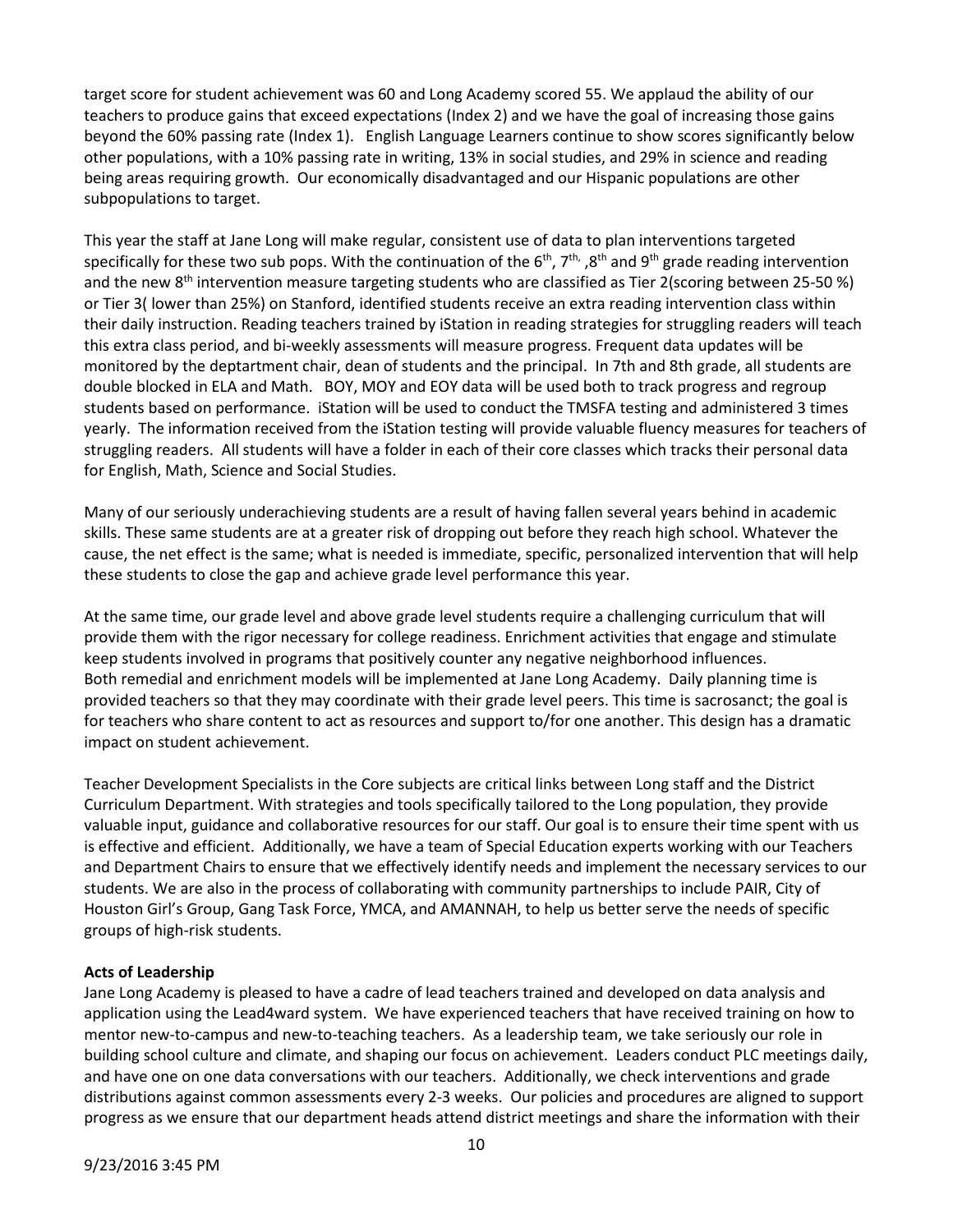target score for student achievement was 60 and Long Academy scored 55. We applaud the ability of our teachers to produce gains that exceed expectations (Index 2) and we have the goal of increasing those gains beyond the 60% passing rate (Index 1). English Language Learners continue to show scores significantly below other populations, with a 10% passing rate in writing, 13% in social studies, and 29% in science and reading being areas requiring growth. Our economically disadvantaged and our Hispanic populations are other subpopulations to target.

This year the staff at Jane Long will make regular, consistent use of data to plan interventions targeted specifically for these two sub pops. With the continuation of the  $6^{th}$ ,  $7^{th}$ ,  $8^{th}$  and  $9^{th}$  grade reading intervention and the new 8<sup>th</sup> intervention measure targeting students who are classified as Tier 2(scoring between 25-50 %) or Tier 3( lower than 25%) on Stanford, identified students receive an extra reading intervention class within their daily instruction. Reading teachers trained by iStation in reading strategies for struggling readers will teach this extra class period, and bi-weekly assessments will measure progress. Frequent data updates will be monitored by the deptartment chair, dean of students and the principal. In 7th and 8th grade, all students are double blocked in ELA and Math. BOY, MOY and EOY data will be used both to track progress and regroup students based on performance. iStation will be used to conduct the TMSFA testing and administered 3 times yearly. The information received from the iStation testing will provide valuable fluency measures for teachers of struggling readers. All students will have a folder in each of their core classes which tracks their personal data for English, Math, Science and Social Studies.

Many of our seriously underachieving students are a result of having fallen several years behind in academic skills. These same students are at a greater risk of dropping out before they reach high school. Whatever the cause, the net effect is the same; what is needed is immediate, specific, personalized intervention that will help these students to close the gap and achieve grade level performance this year.

At the same time, our grade level and above grade level students require a challenging curriculum that will provide them with the rigor necessary for college readiness. Enrichment activities that engage and stimulate keep students involved in programs that positively counter any negative neighborhood influences. Both remedial and enrichment models will be implemented at Jane Long Academy. Daily planning time is provided teachers so that they may coordinate with their grade level peers. This time is sacrosanct; the goal is for teachers who share content to act as resources and support to/for one another. This design has a dramatic impact on student achievement.

Teacher Development Specialists in the Core subjects are critical links between Long staff and the District Curriculum Department. With strategies and tools specifically tailored to the Long population, they provide valuable input, guidance and collaborative resources for our staff. Our goal is to ensure their time spent with us is effective and efficient. Additionally, we have a team of Special Education experts working with our Teachers and Department Chairs to ensure that we effectively identify needs and implement the necessary services to our students. We are also in the process of collaborating with community partnerships to include PAIR, City of Houston Girl's Group, Gang Task Force, YMCA, and AMANNAH, to help us better serve the needs of specific groups of high-risk students.

### **Acts of Leadership**

Jane Long Academy is pleased to have a cadre of lead teachers trained and developed on data analysis and application using the Lead4ward system. We have experienced teachers that have received training on how to mentor new-to-campus and new-to-teaching teachers. As a leadership team, we take seriously our role in building school culture and climate, and shaping our focus on achievement. Leaders conduct PLC meetings daily, and have one on one data conversations with our teachers. Additionally, we check interventions and grade distributions against common assessments every 2-3 weeks. Our policies and procedures are aligned to support progress as we ensure that our department heads attend district meetings and share the information with their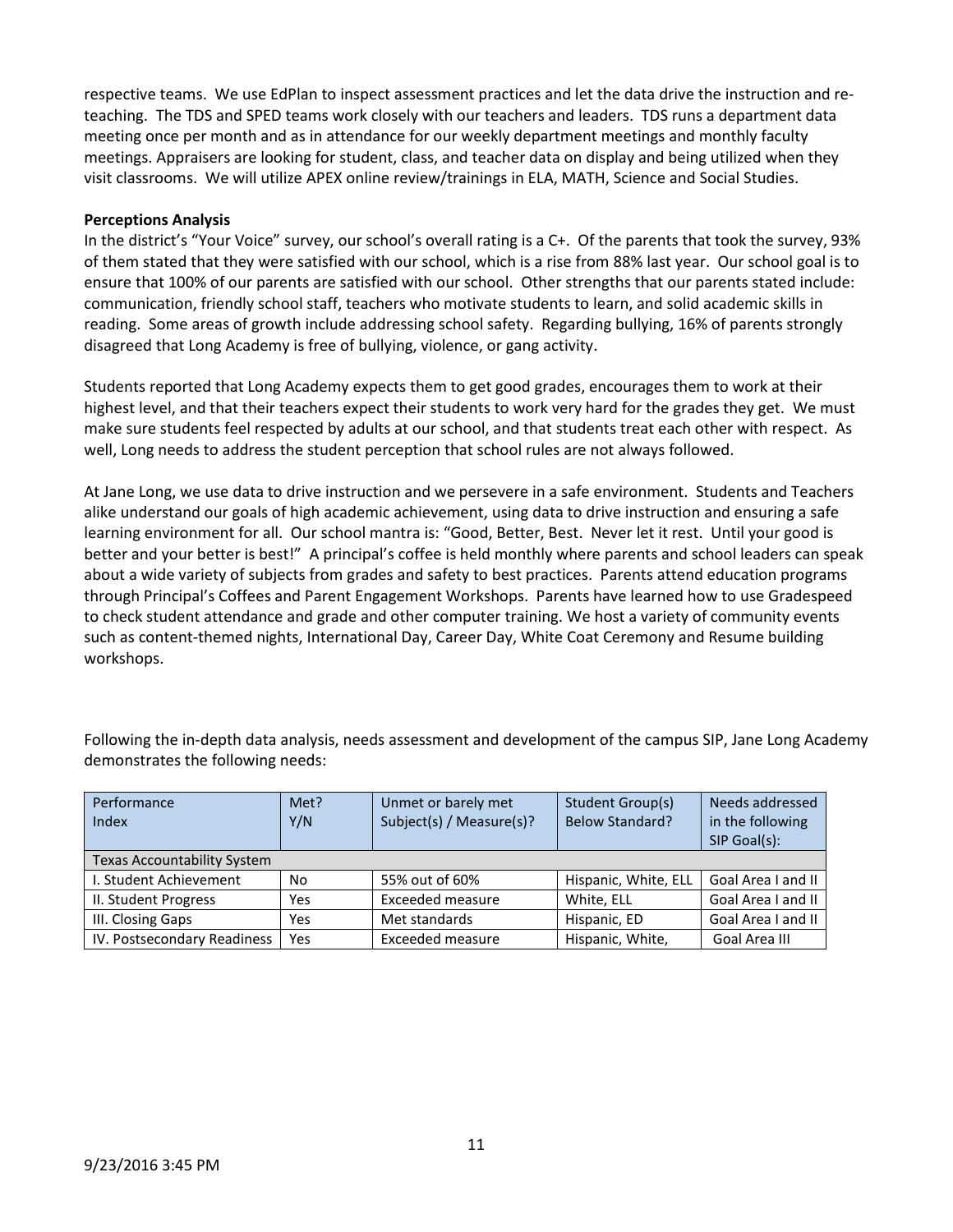respective teams. We use EdPlan to inspect assessment practices and let the data drive the instruction and reteaching. The TDS and SPED teams work closely with our teachers and leaders. TDS runs a department data meeting once per month and as in attendance for our weekly department meetings and monthly faculty meetings. Appraisers are looking for student, class, and teacher data on display and being utilized when they visit classrooms. We will utilize APEX online review/trainings in ELA, MATH, Science and Social Studies.

### **Perceptions Analysis**

In the district's "Your Voice" survey, our school's overall rating is a C+. Of the parents that took the survey, 93% of them stated that they were satisfied with our school, which is a rise from 88% last year. Our school goal is to ensure that 100% of our parents are satisfied with our school. Other strengths that our parents stated include: communication, friendly school staff, teachers who motivate students to learn, and solid academic skills in reading. Some areas of growth include addressing school safety. Regarding bullying, 16% of parents strongly disagreed that Long Academy is free of bullying, violence, or gang activity.

Students reported that Long Academy expects them to get good grades, encourages them to work at their highest level, and that their teachers expect their students to work very hard for the grades they get. We must make sure students feel respected by adults at our school, and that students treat each other with respect. As well, Long needs to address the student perception that school rules are not always followed.

At Jane Long, we use data to drive instruction and we persevere in a safe environment. Students and Teachers alike understand our goals of high academic achievement, using data to drive instruction and ensuring a safe learning environment for all. Our school mantra is: "Good, Better, Best. Never let it rest. Until your good is better and your better is best!" A principal's coffee is held monthly where parents and school leaders can speak about a wide variety of subjects from grades and safety to best practices. Parents attend education programs through Principal's Coffees and Parent Engagement Workshops. Parents have learned how to use Gradespeed to check student attendance and grade and other computer training. We host a variety of community events such as content-themed nights, International Day, Career Day, White Coat Ceremony and Resume building workshops.

Following the in-depth data analysis, needs assessment and development of the campus SIP, Jane Long Academy demonstrates the following needs:

| Performance                        | Met? | Unmet or barely met      | Student Group(s)       | Needs addressed    |
|------------------------------------|------|--------------------------|------------------------|--------------------|
| Index                              | Y/N  | Subject(s) / Measure(s)? | <b>Below Standard?</b> | in the following   |
|                                    |      |                          |                        | SIP Goal(s):       |
| <b>Texas Accountability System</b> |      |                          |                        |                    |
| I. Student Achievement             | No   | 55% out of 60%           | Hispanic, White, ELL   | Goal Area I and II |
| II. Student Progress               | Yes  | <b>Exceeded measure</b>  | White, ELL             | Goal Area I and II |
| III. Closing Gaps                  | Yes  | Met standards            | Hispanic, ED           | Goal Area I and II |
| IV. Postsecondary Readiness        | Yes  | Exceeded measure         | Hispanic, White,       | Goal Area III      |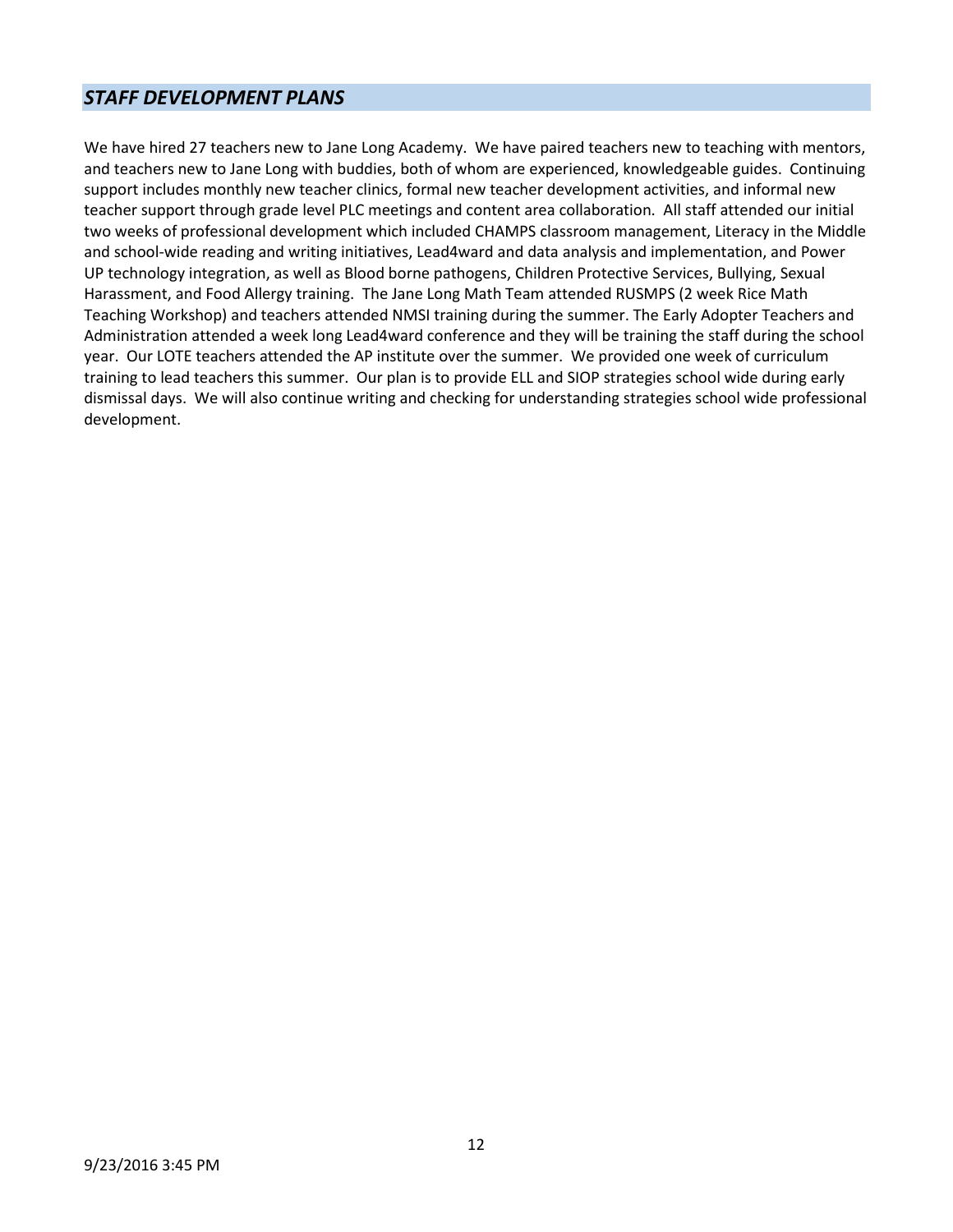### *STAFF DEVELOPMENT PLANS*

We have hired 27 teachers new to Jane Long Academy. We have paired teachers new to teaching with mentors, and teachers new to Jane Long with buddies, both of whom are experienced, knowledgeable guides. Continuing support includes monthly new teacher clinics, formal new teacher development activities, and informal new teacher support through grade level PLC meetings and content area collaboration. All staff attended our initial two weeks of professional development which included CHAMPS classroom management, Literacy in the Middle and school-wide reading and writing initiatives, Lead4ward and data analysis and implementation, and Power UP technology integration, as well as Blood borne pathogens, Children Protective Services, Bullying, Sexual Harassment, and Food Allergy training. The Jane Long Math Team attended RUSMPS (2 week Rice Math Teaching Workshop) and teachers attended NMSI training during the summer. The Early Adopter Teachers and Administration attended a week long Lead4ward conference and they will be training the staff during the school year. Our LOTE teachers attended the AP institute over the summer. We provided one week of curriculum training to lead teachers this summer. Our plan is to provide ELL and SIOP strategies school wide during early dismissal days. We will also continue writing and checking for understanding strategies school wide professional development.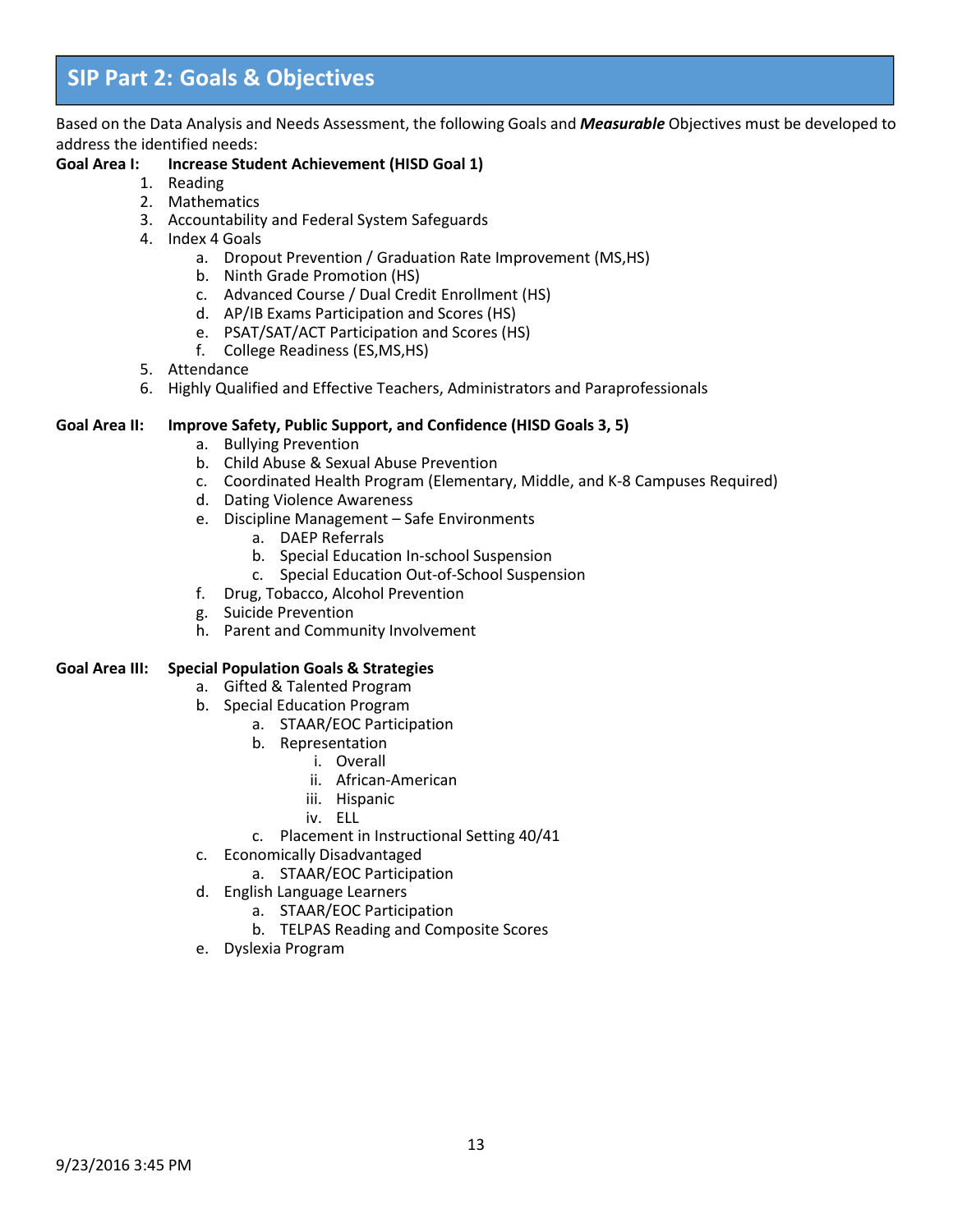### **SIP Part 2: Goals & Objectives**

Based on the Data Analysis and Needs Assessment, the following Goals and *Measurable* Objectives must be developed to address the identified needs:

#### **Goal Area I: Increase Student Achievement (HISD Goal 1)**

- 1. Reading
- 2. Mathematics
- 3. Accountability and Federal System Safeguards
- 4. Index 4 Goals
	- a. Dropout Prevention / Graduation Rate Improvement (MS,HS)
	- b. Ninth Grade Promotion (HS)
	- c. Advanced Course / Dual Credit Enrollment (HS)
	- d. AP/IB Exams Participation and Scores (HS)
	- e. PSAT/SAT/ACT Participation and Scores (HS)
	- f. College Readiness (ES,MS,HS)
- 5. Attendance
- 6. Highly Qualified and Effective Teachers, Administrators and Paraprofessionals

#### **Goal Area II: Improve Safety, Public Support, and Confidence (HISD Goals 3, 5)**

- a. Bullying Prevention
- b. Child Abuse & Sexual Abuse Prevention
- c. Coordinated Health Program (Elementary, Middle, and K-8 Campuses Required)
- d. Dating Violence Awareness
- e. Discipline Management Safe Environments
	- a. DAEP Referrals
	- b. Special Education In-school Suspension
	- c. Special Education Out-of-School Suspension
- f. Drug, Tobacco, Alcohol Prevention
- g. Suicide Prevention
- h. Parent and Community Involvement

### **Goal Area III: Special Population Goals & Strategies**

- a. Gifted & Talented Program
- b. Special Education Program
	- a. STAAR/EOC Participation
	- b. Representation
		- i. Overall
		- ii. African-American
		- iii. Hispanic
		- iv. ELL
	- c. Placement in Instructional Setting 40/41
- c. Economically Disadvantaged
	- a. STAAR/EOC Participation
- d. English Language Learners
	- a. STAAR/EOC Participation
	- b. TELPAS Reading and Composite Scores
- e. Dyslexia Program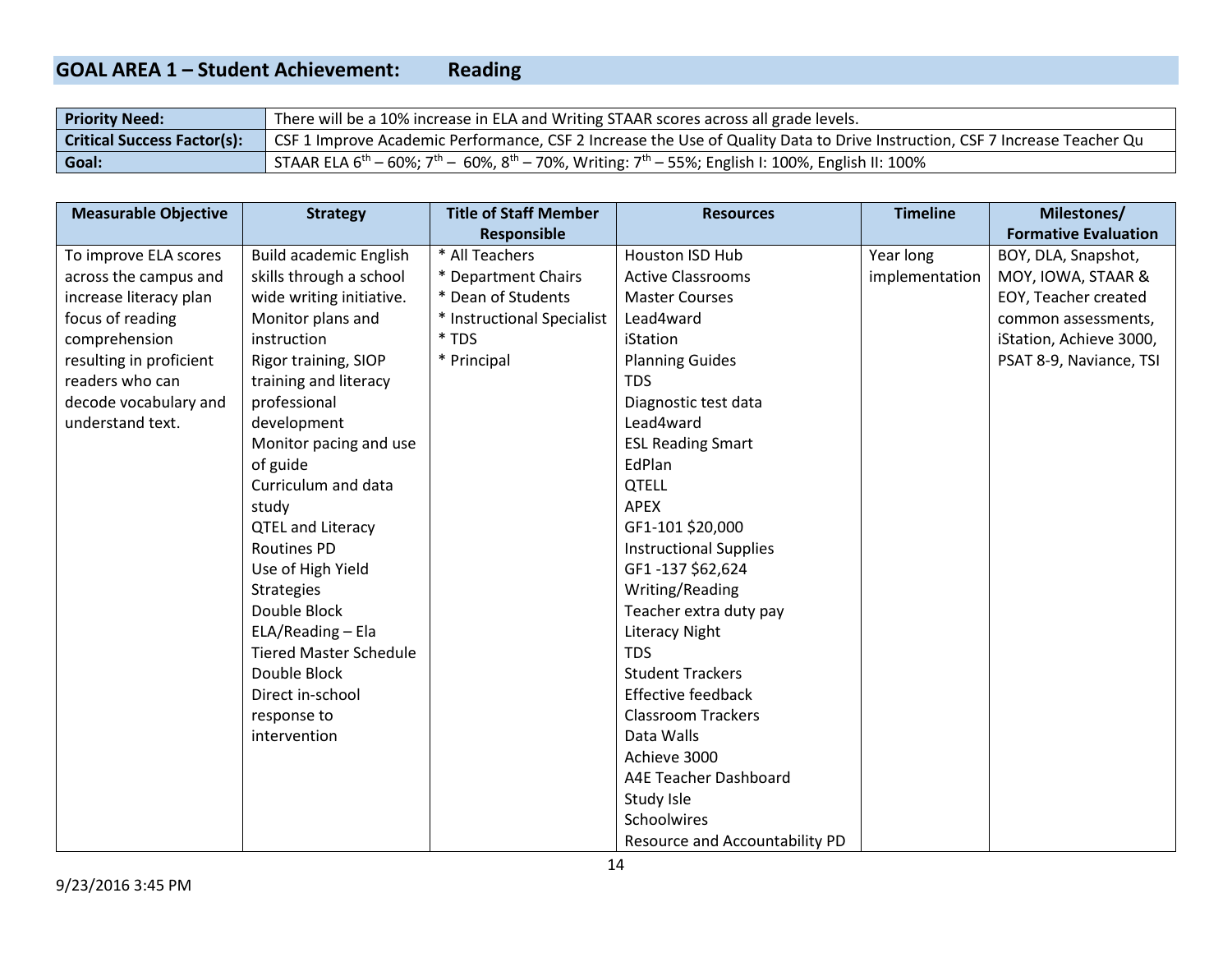#### **GOAL AREA 1 – Student Achievement: Reading**

| <b>Priority Need:</b>              | There will be a 10% increase in ELA and Writing STAAR scores across all grade levels.                                                              |
|------------------------------------|----------------------------------------------------------------------------------------------------------------------------------------------------|
| <b>Critical Success Factor(s):</b> | CSF 1 Improve Academic Performance, CSF 2 Increase the Use of Quality Data to Drive Instruction, CSF 7 Increase Teacher Qu                         |
| Goal:                              | , STAAR ELA 6 <sup>th</sup> – 60%; 7 <sup>th</sup> – 60%, 8 <sup>th</sup> – 70%, Writing: 7 <sup>th</sup> – 55%; English I: 100%, English II: 100% |

| <b>Measurable Objective</b> | <b>Strategy</b>               | <b>Title of Staff Member</b> | <b>Resources</b>               | <b>Timeline</b> | Milestones/                 |
|-----------------------------|-------------------------------|------------------------------|--------------------------------|-----------------|-----------------------------|
|                             |                               | <b>Responsible</b>           |                                |                 | <b>Formative Evaluation</b> |
| To improve ELA scores       | <b>Build academic English</b> | * All Teachers               | Houston ISD Hub                | Year long       | BOY, DLA, Snapshot,         |
| across the campus and       | skills through a school       | * Department Chairs          | <b>Active Classrooms</b>       | implementation  | MOY, IOWA, STAAR &          |
| increase literacy plan      | wide writing initiative.      | * Dean of Students           | <b>Master Courses</b>          |                 | EOY, Teacher created        |
| focus of reading            | Monitor plans and             | * Instructional Specialist   | Lead4ward                      |                 | common assessments,         |
| comprehension               | instruction                   | * TDS                        | iStation                       |                 | iStation, Achieve 3000,     |
| resulting in proficient     | Rigor training, SIOP          | * Principal                  | <b>Planning Guides</b>         |                 | PSAT 8-9, Naviance, TSI     |
| readers who can             | training and literacy         |                              | <b>TDS</b>                     |                 |                             |
| decode vocabulary and       | professional                  |                              | Diagnostic test data           |                 |                             |
| understand text.            | development                   |                              | Lead4ward                      |                 |                             |
|                             | Monitor pacing and use        |                              | <b>ESL Reading Smart</b>       |                 |                             |
|                             | of guide                      |                              | EdPlan                         |                 |                             |
|                             | Curriculum and data           |                              | <b>QTELL</b>                   |                 |                             |
|                             | study                         |                              | <b>APEX</b>                    |                 |                             |
|                             | <b>QTEL and Literacy</b>      |                              | GF1-101 \$20,000               |                 |                             |
|                             | <b>Routines PD</b>            |                              | <b>Instructional Supplies</b>  |                 |                             |
|                             | Use of High Yield             |                              | GF1-137 \$62,624               |                 |                             |
|                             | <b>Strategies</b>             |                              | Writing/Reading                |                 |                             |
|                             | Double Block                  |                              | Teacher extra duty pay         |                 |                             |
|                             | ELA/Reading - Ela             |                              | <b>Literacy Night</b>          |                 |                             |
|                             | <b>Tiered Master Schedule</b> |                              | <b>TDS</b>                     |                 |                             |
|                             | Double Block                  |                              | <b>Student Trackers</b>        |                 |                             |
|                             | Direct in-school              |                              | <b>Effective feedback</b>      |                 |                             |
|                             | response to                   |                              | <b>Classroom Trackers</b>      |                 |                             |
|                             | intervention                  |                              | Data Walls                     |                 |                             |
|                             |                               |                              | Achieve 3000                   |                 |                             |
|                             |                               |                              | A4E Teacher Dashboard          |                 |                             |
|                             |                               |                              | Study Isle                     |                 |                             |
|                             |                               |                              | Schoolwires                    |                 |                             |
|                             |                               |                              | Resource and Accountability PD |                 |                             |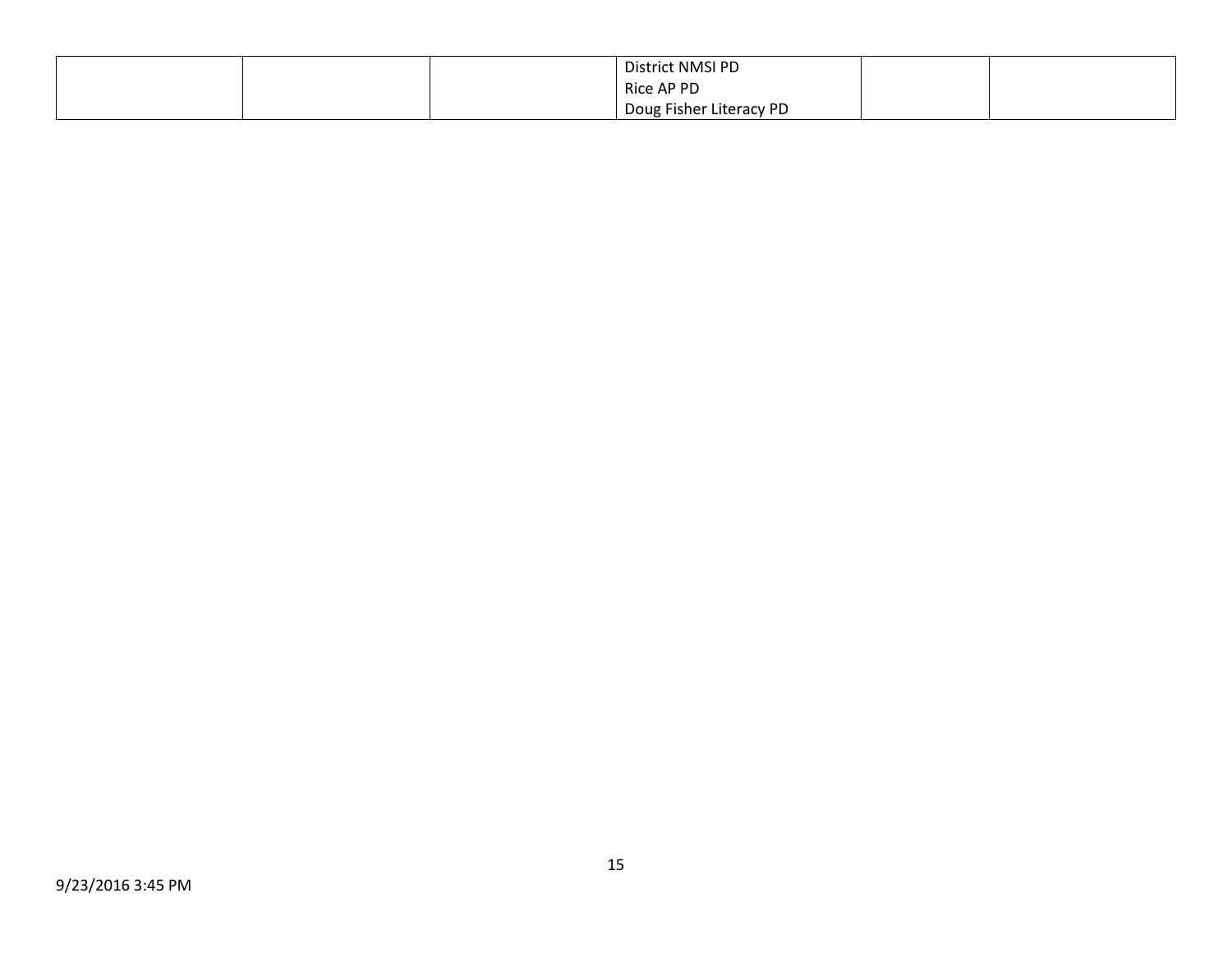|  | District NMSI PD        |  |
|--|-------------------------|--|
|  | Rice AP PD              |  |
|  | Doug Fisher Literacy PD |  |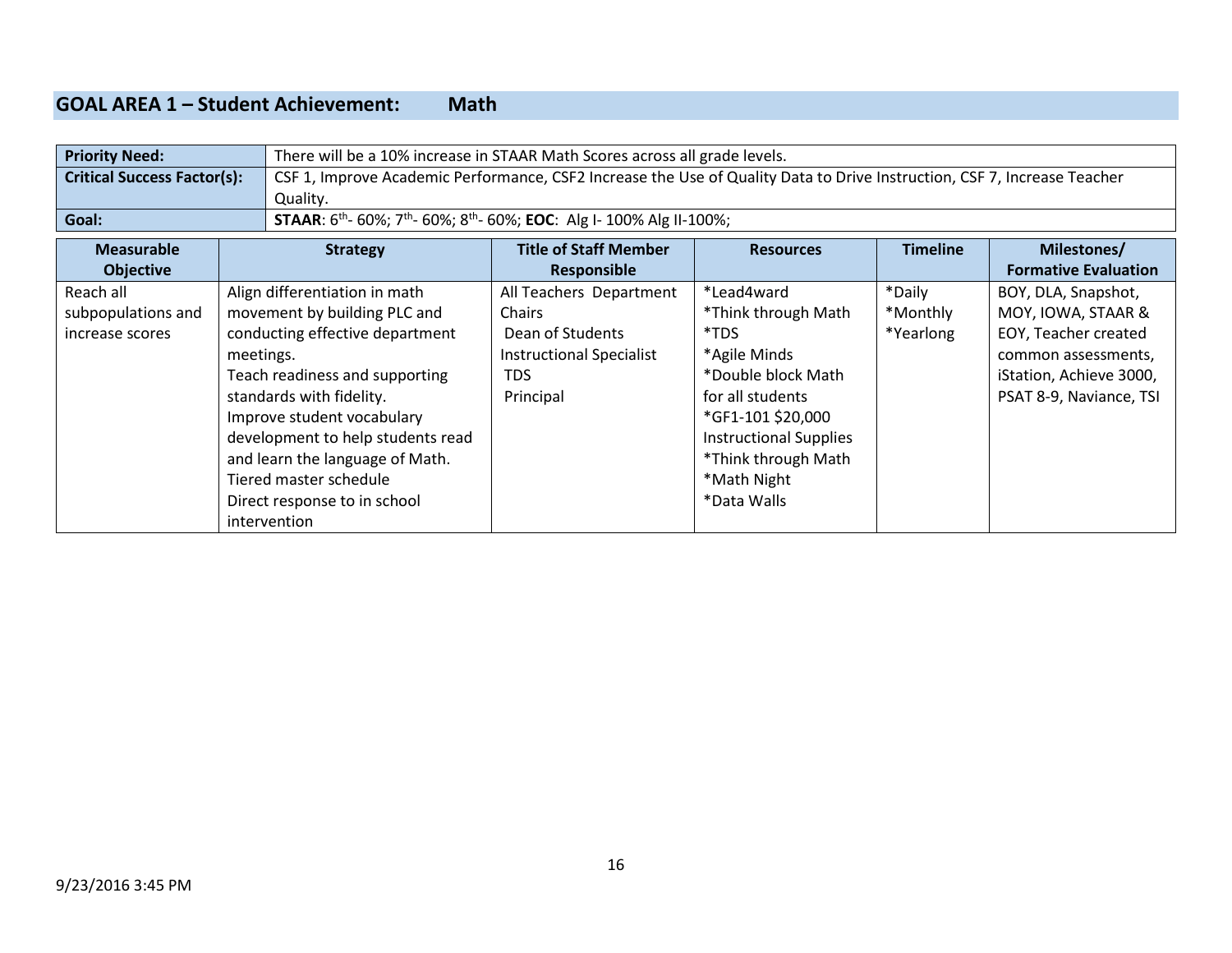### **GOAL AREA 1 – Student Achievement: Math**

| <b>Priority Need:</b>              |                                   | There will be a 10% increase in STAAR Math Scores across all grade levels.                                               |                               |                 |                             |
|------------------------------------|-----------------------------------|--------------------------------------------------------------------------------------------------------------------------|-------------------------------|-----------------|-----------------------------|
| <b>Critical Success Factor(s):</b> |                                   | CSF 1, Improve Academic Performance, CSF2 Increase the Use of Quality Data to Drive Instruction, CSF 7, Increase Teacher |                               |                 |                             |
|                                    | Quality.                          |                                                                                                                          |                               |                 |                             |
| Goal:                              |                                   | <b>STAAR:</b> $6^{th}$ - 60%; $7^{th}$ - 60%; $8^{th}$ - 60%; <b>EOC:</b> Alg I- 100% Alg II-100%;                       |                               |                 |                             |
| <b>Measurable</b>                  | <b>Strategy</b>                   | <b>Title of Staff Member</b>                                                                                             | <b>Resources</b>              | <b>Timeline</b> | Milestones/                 |
| <b>Objective</b>                   |                                   | Responsible                                                                                                              |                               |                 | <b>Formative Evaluation</b> |
| Reach all                          | Align differentiation in math     | All Teachers Department                                                                                                  | *Lead4ward                    | *Daily          | BOY, DLA, Snapshot,         |
| subpopulations and                 | movement by building PLC and      | Chairs                                                                                                                   | *Think through Math           | *Monthly        | MOY, IOWA, STAAR &          |
| increase scores                    | conducting effective department   | Dean of Students                                                                                                         | *TDS                          | *Yearlong       | EOY, Teacher created        |
|                                    | meetings.                         | <b>Instructional Specialist</b>                                                                                          | *Agile Minds                  |                 | common assessments,         |
|                                    | Teach readiness and supporting    | <b>TDS</b>                                                                                                               | *Double block Math            |                 | iStation, Achieve 3000,     |
|                                    | standards with fidelity.          | Principal                                                                                                                | for all students              |                 | PSAT 8-9, Naviance, TSI     |
|                                    | Improve student vocabulary        |                                                                                                                          | *GF1-101 \$20,000             |                 |                             |
|                                    | development to help students read |                                                                                                                          | <b>Instructional Supplies</b> |                 |                             |
|                                    | and learn the language of Math.   |                                                                                                                          | *Think through Math           |                 |                             |
|                                    | Tiered master schedule            |                                                                                                                          | *Math Night                   |                 |                             |
|                                    | Direct response to in school      |                                                                                                                          | *Data Walls                   |                 |                             |
|                                    | intervention                      |                                                                                                                          |                               |                 |                             |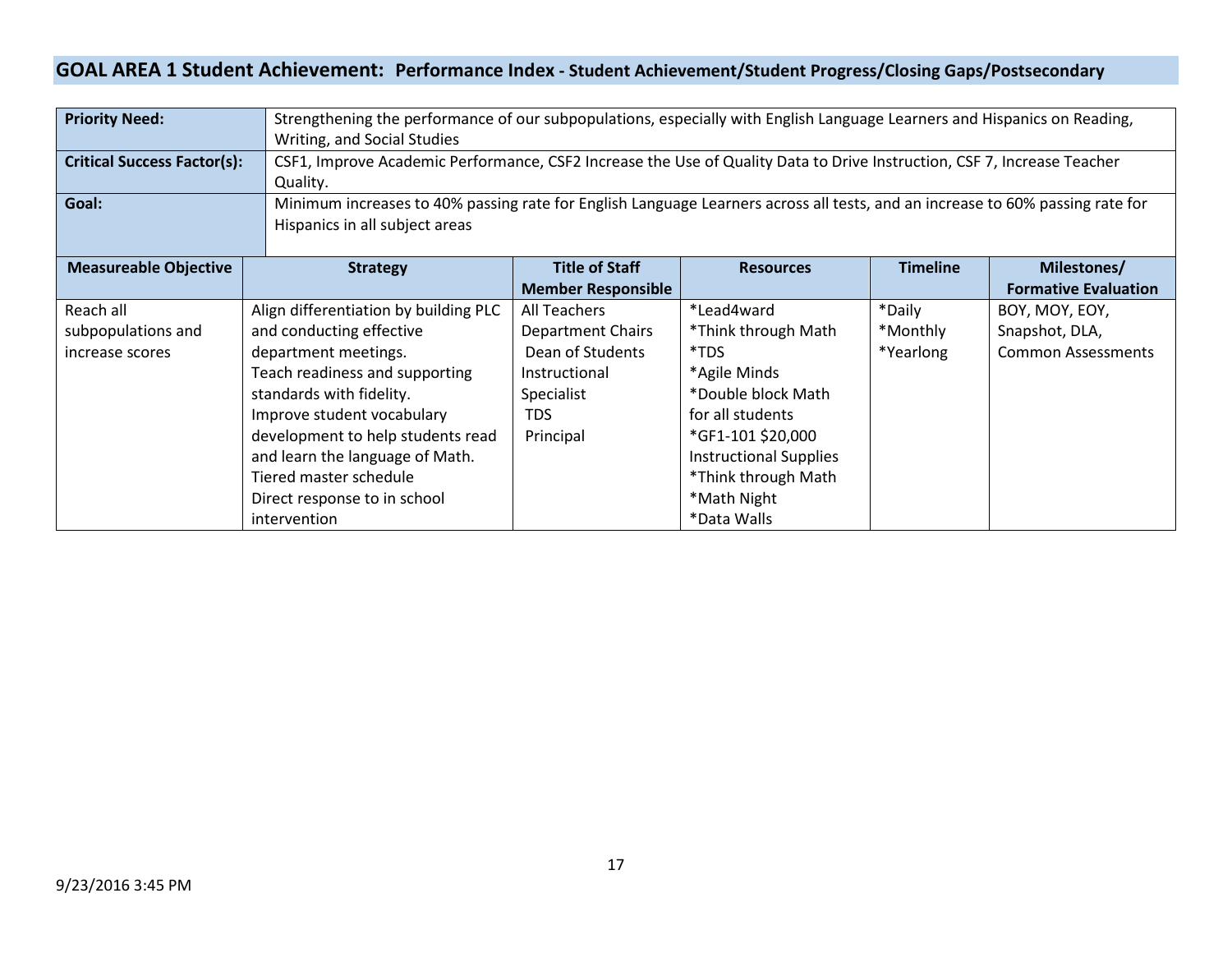### **GOAL AREA 1 Student Achievement: Performance Index - Student Achievement/Student Progress/Closing Gaps/Postsecondary**

| <b>Priority Need:</b>              |                                                                                                                               | Strengthening the performance of our subpopulations, especially with English Language Learners and Hispanics on Reading, |                               |                 |                             |
|------------------------------------|-------------------------------------------------------------------------------------------------------------------------------|--------------------------------------------------------------------------------------------------------------------------|-------------------------------|-----------------|-----------------------------|
|                                    | Writing, and Social Studies                                                                                                   |                                                                                                                          |                               |                 |                             |
| <b>Critical Success Factor(s):</b> |                                                                                                                               | CSF1, Improve Academic Performance, CSF2 Increase the Use of Quality Data to Drive Instruction, CSF7, Increase Teacher   |                               |                 |                             |
|                                    | Quality.                                                                                                                      |                                                                                                                          |                               |                 |                             |
| Goal:                              | Minimum increases to 40% passing rate for English Language Learners across all tests, and an increase to 60% passing rate for |                                                                                                                          |                               |                 |                             |
|                                    | Hispanics in all subject areas                                                                                                |                                                                                                                          |                               |                 |                             |
|                                    |                                                                                                                               |                                                                                                                          |                               |                 |                             |
| <b>Measureable Objective</b>       | <b>Strategy</b>                                                                                                               | <b>Title of Staff</b>                                                                                                    | <b>Resources</b>              | <b>Timeline</b> | Milestones/                 |
|                                    |                                                                                                                               | <b>Member Responsible</b>                                                                                                |                               |                 | <b>Formative Evaluation</b> |
| Reach all                          | Align differentiation by building PLC                                                                                         | All Teachers                                                                                                             | *Lead4ward                    | *Daily          | BOY, MOY, EOY,              |
| subpopulations and                 | and conducting effective                                                                                                      | <b>Department Chairs</b>                                                                                                 | *Think through Math           | *Monthly        | Snapshot, DLA,              |
| increase scores                    | department meetings.                                                                                                          | Dean of Students                                                                                                         | *TDS                          | *Yearlong       | <b>Common Assessments</b>   |
|                                    | Teach readiness and supporting                                                                                                | Instructional                                                                                                            | *Agile Minds                  |                 |                             |
|                                    | standards with fidelity.                                                                                                      | Specialist                                                                                                               | *Double block Math            |                 |                             |
|                                    | Improve student vocabulary                                                                                                    | <b>TDS</b>                                                                                                               | for all students              |                 |                             |
|                                    | development to help students read                                                                                             | Principal                                                                                                                | *GF1-101 \$20,000             |                 |                             |
|                                    | and learn the language of Math.                                                                                               |                                                                                                                          | <b>Instructional Supplies</b> |                 |                             |
|                                    | Tiered master schedule                                                                                                        |                                                                                                                          | *Think through Math           |                 |                             |
|                                    | Direct response to in school                                                                                                  |                                                                                                                          | *Math Night                   |                 |                             |
|                                    | intervention                                                                                                                  |                                                                                                                          | *Data Walls                   |                 |                             |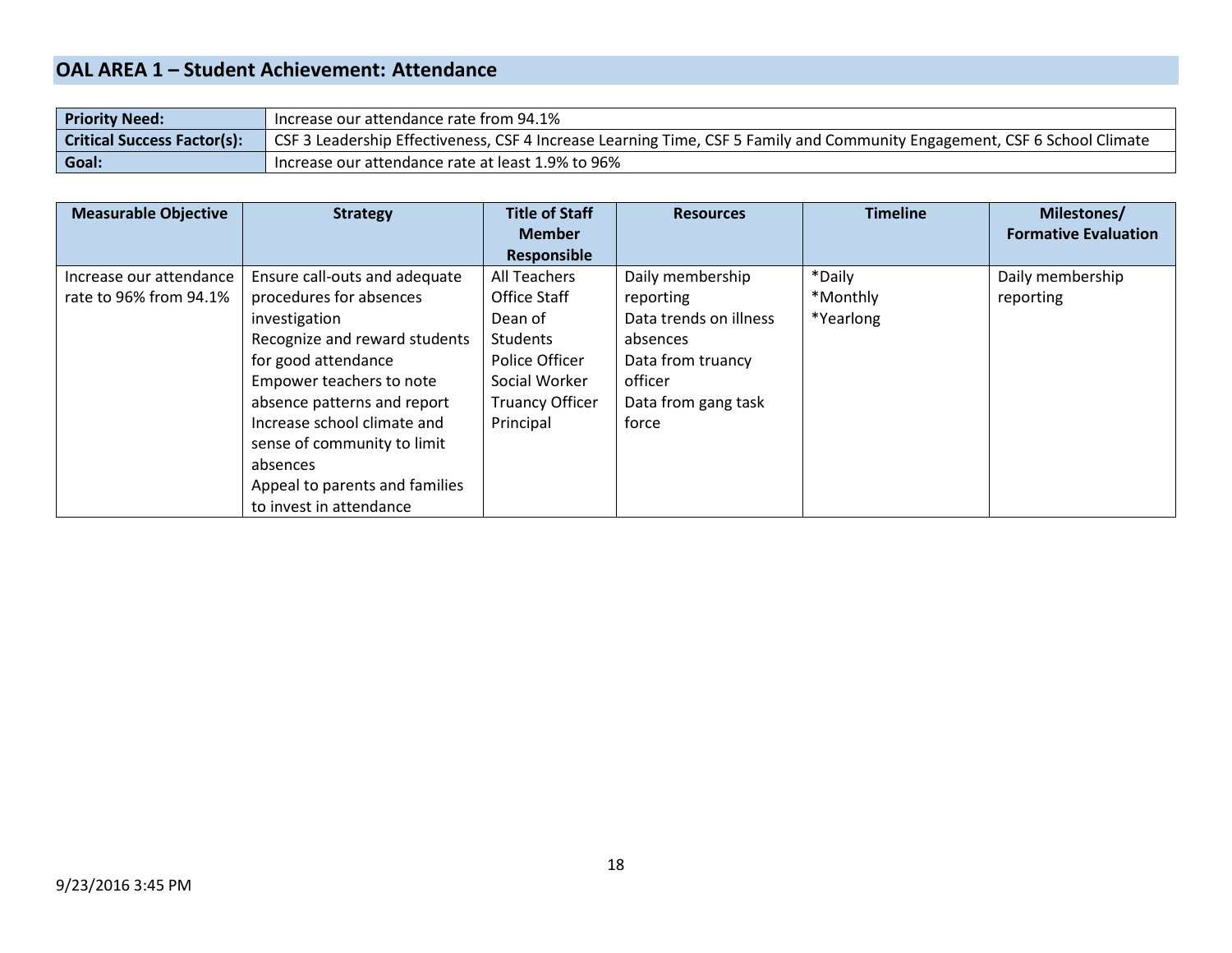### **OAL AREA 1 – Student Achievement: Attendance**

| <b>Priority Need:</b>              | lncrease our attendance rate from 94.1%                                                                                   |
|------------------------------------|---------------------------------------------------------------------------------------------------------------------------|
| <b>Critical Success Factor(s):</b> | CSF 3 Leadership Effectiveness, CSF 4 Increase Learning Time, CSF 5 Family and Community Engagement, CSF 6 School Climate |
| Goal:                              | Increase our attendance rate at least 1.9% to 96%                                                                         |

| <b>Measurable Objective</b> | <b>Strategy</b>                | <b>Title of Staff</b>  | <b>Resources</b>       | <b>Timeline</b> | Milestones/                 |
|-----------------------------|--------------------------------|------------------------|------------------------|-----------------|-----------------------------|
|                             |                                | <b>Member</b>          |                        |                 | <b>Formative Evaluation</b> |
|                             |                                | <b>Responsible</b>     |                        |                 |                             |
| Increase our attendance     | Ensure call-outs and adequate  | All Teachers           | Daily membership       | *Daily          | Daily membership            |
| rate to 96% from 94.1%      | procedures for absences        | <b>Office Staff</b>    | reporting              | *Monthly        | reporting                   |
|                             | investigation                  | Dean of                | Data trends on illness | *Yearlong       |                             |
|                             | Recognize and reward students  | Students               | absences               |                 |                             |
|                             | for good attendance            | Police Officer         | Data from truancy      |                 |                             |
|                             | Empower teachers to note       | Social Worker          | officer                |                 |                             |
|                             | absence patterns and report    | <b>Truancy Officer</b> | Data from gang task    |                 |                             |
|                             | Increase school climate and    | Principal              | force                  |                 |                             |
|                             | sense of community to limit    |                        |                        |                 |                             |
|                             | absences                       |                        |                        |                 |                             |
|                             | Appeal to parents and families |                        |                        |                 |                             |
|                             | to invest in attendance        |                        |                        |                 |                             |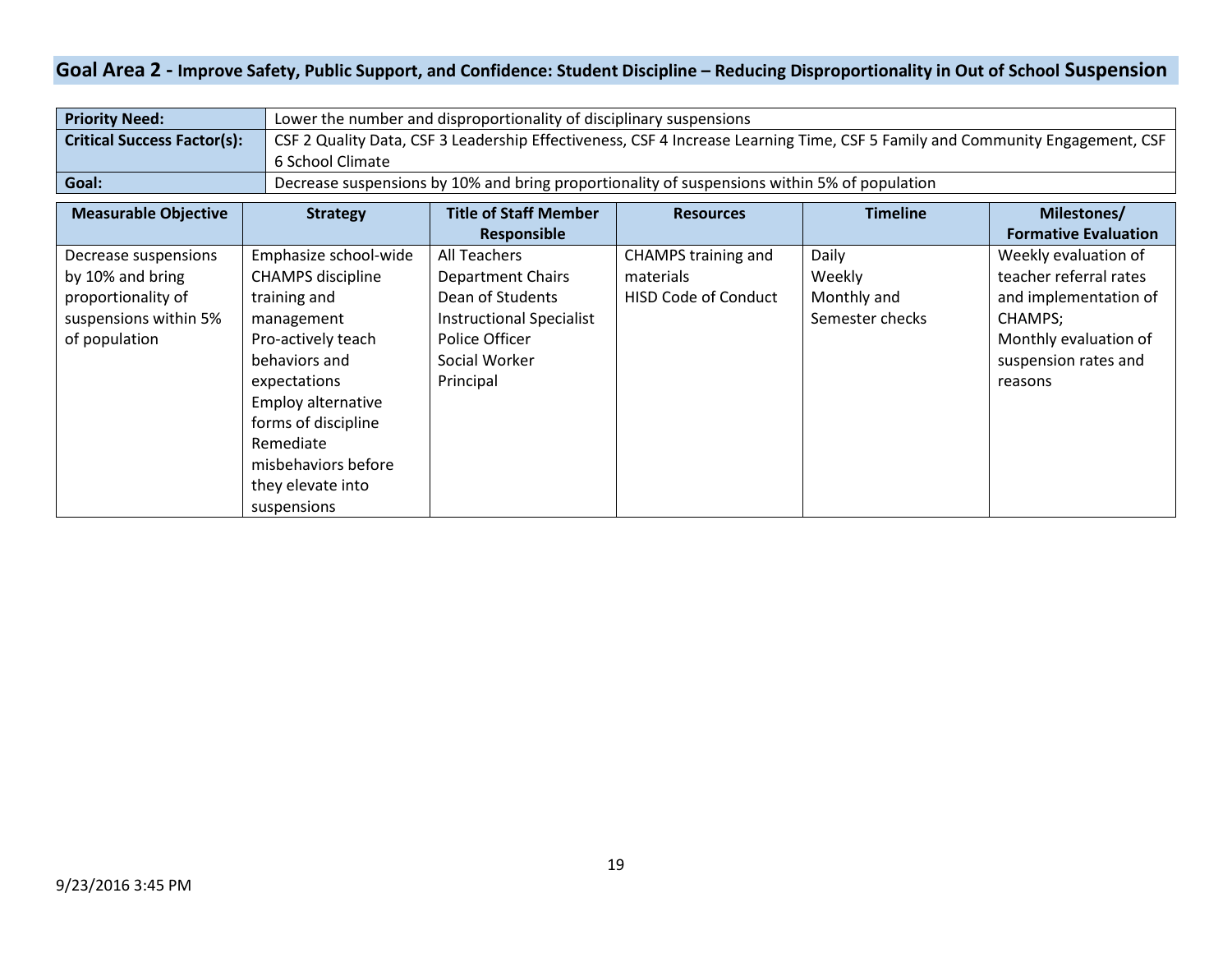### **Goal Area 2 - Improve Safety, Public Support, and Confidence: Student Discipline – Reducing Disproportionality in Out of School Suspension**

| <b>Priority Need:</b>              | Lower the number and disproportionality of disciplinary suspensions                                                          |
|------------------------------------|------------------------------------------------------------------------------------------------------------------------------|
| <b>Critical Success Factor(s):</b> | CSF 2 Quality Data, CSF 3 Leadership Effectiveness, CSF 4 Increase Learning Time, CSF 5 Family and Community Engagement, CSF |
|                                    | 6 School Climate                                                                                                             |
| Goal:                              | Decrease suspensions by 10% and bring proportionality of suspensions within 5% of population                                 |

| <b>Measurable Objective</b> | <b>Strategy</b>          | <b>Title of Staff Member</b>    | <b>Resources</b>            | <b>Timeline</b> | Milestones/                 |
|-----------------------------|--------------------------|---------------------------------|-----------------------------|-----------------|-----------------------------|
|                             |                          | Responsible                     |                             |                 | <b>Formative Evaluation</b> |
| Decrease suspensions        | Emphasize school-wide    | All Teachers                    | CHAMPS training and         | Daily           | Weekly evaluation of        |
| by 10% and bring            | <b>CHAMPS</b> discipline | <b>Department Chairs</b>        | materials                   | Weekly          | teacher referral rates      |
| proportionality of          | training and             | Dean of Students                | <b>HISD Code of Conduct</b> | Monthly and     | and implementation of       |
| suspensions within 5%       | management               | <b>Instructional Specialist</b> |                             | Semester checks | CHAMPS;                     |
| of population               | Pro-actively teach       | Police Officer                  |                             |                 | Monthly evaluation of       |
|                             | behaviors and            | Social Worker                   |                             |                 | suspension rates and        |
|                             | expectations             | Principal                       |                             |                 | reasons                     |
|                             | Employ alternative       |                                 |                             |                 |                             |
|                             | forms of discipline      |                                 |                             |                 |                             |
|                             | Remediate                |                                 |                             |                 |                             |
|                             | misbehaviors before      |                                 |                             |                 |                             |
|                             | they elevate into        |                                 |                             |                 |                             |
|                             | suspensions              |                                 |                             |                 |                             |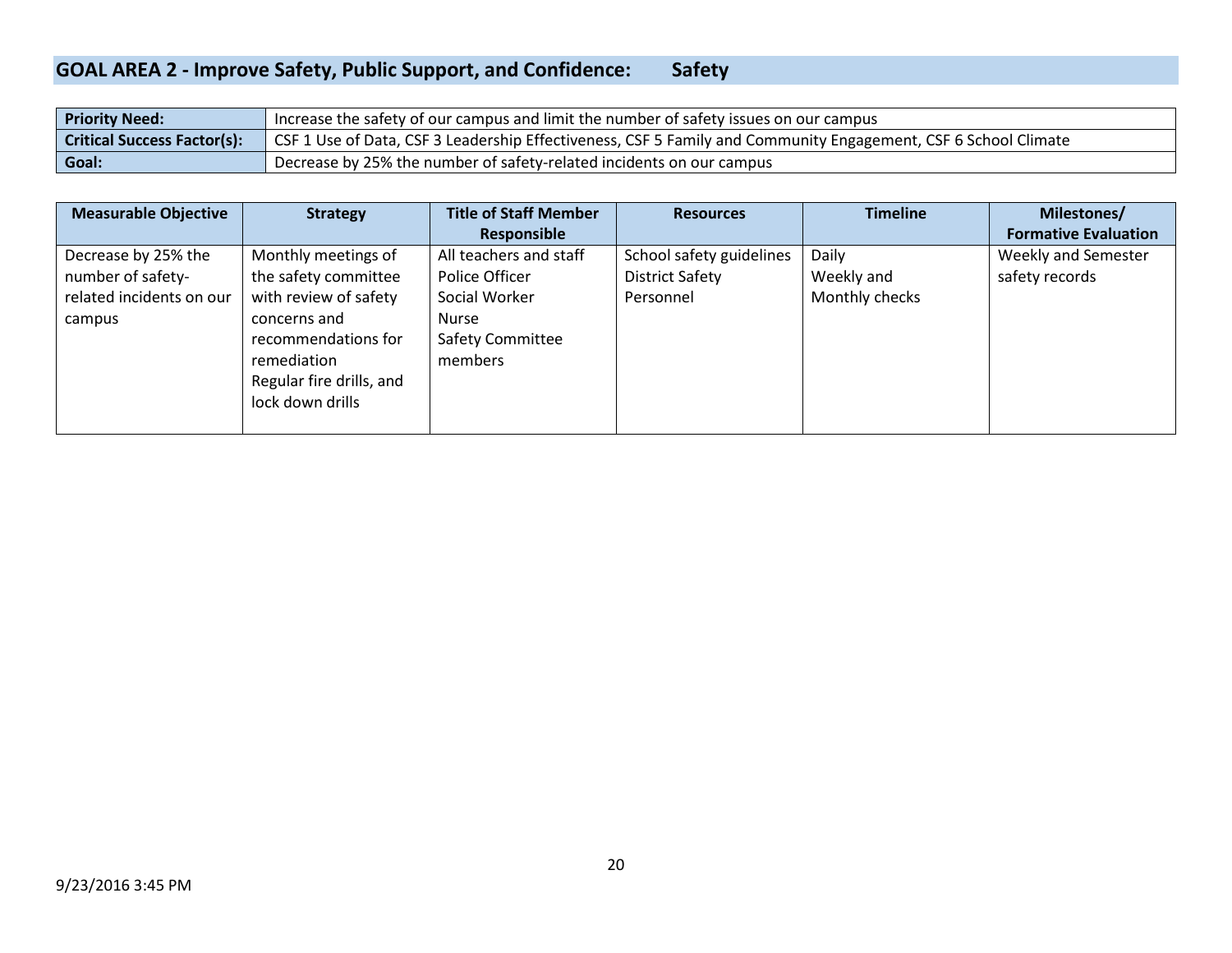#### **GOAL AREA 2 - Improve Safety, Public Support, and Confidence:** Safety

| <b>Priority Need:</b>              | Increase the safety of our campus and limit the number of safety issues on our campus                          |
|------------------------------------|----------------------------------------------------------------------------------------------------------------|
| <b>Critical Success Factor(s):</b> | CSF 1 Use of Data, CSF 3 Leadership Effectiveness, CSF 5 Family and Community Engagement, CSF 6 School Climate |
| Goal:                              | Decrease by 25% the number of safety-related incidents on our campus                                           |

| <b>Measurable Objective</b> | <b>Strategy</b>          | <b>Title of Staff Member</b> | <b>Resources</b>         | <b>Timeline</b> | Milestones/                 |
|-----------------------------|--------------------------|------------------------------|--------------------------|-----------------|-----------------------------|
|                             |                          | Responsible                  |                          |                 | <b>Formative Evaluation</b> |
| Decrease by 25% the         | Monthly meetings of      | All teachers and staff       | School safety guidelines | Daily           | <b>Weekly and Semester</b>  |
| number of safety-           | the safety committee     | Police Officer               | District Safety          | Weekly and      | safety records              |
| related incidents on our    | with review of safety    | Social Worker                | Personnel                | Monthly checks  |                             |
| campus                      | concerns and             | Nurse                        |                          |                 |                             |
|                             | recommendations for      | <b>Safety Committee</b>      |                          |                 |                             |
|                             | remediation              | members                      |                          |                 |                             |
|                             | Regular fire drills, and |                              |                          |                 |                             |
|                             | lock down drills         |                              |                          |                 |                             |
|                             |                          |                              |                          |                 |                             |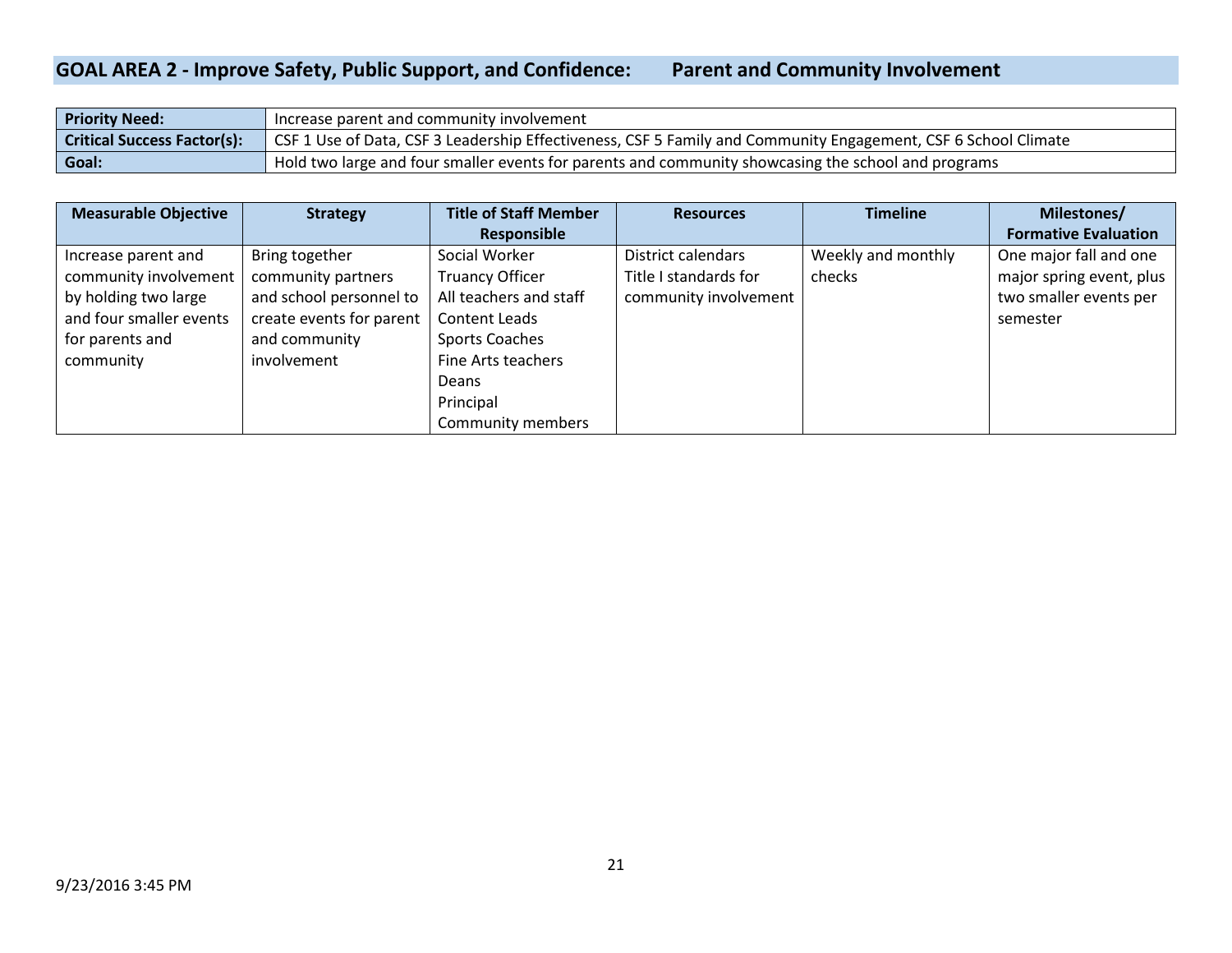#### **GOAL AREA 2 - Improve Safety, Public Support, and Confidence: Parent and Community Involvement**

| <b>Priority Need:</b>              | Increase parent and community involvement                                                                      |
|------------------------------------|----------------------------------------------------------------------------------------------------------------|
| <b>Critical Success Factor(s):</b> | GSF 1 Use of Data, CSF 3 Leadership Effectiveness, CSF 5 Family and Community Engagement, CSF 6 School Climate |
| Goal:                              | Hold two large and four smaller events for parents and community showcasing the school and programs            |

| <b>Measurable Objective</b> | <b>Strategy</b>          | <b>Title of Staff Member</b> | <b>Resources</b>      | <b>Timeline</b>    | Milestones/                 |
|-----------------------------|--------------------------|------------------------------|-----------------------|--------------------|-----------------------------|
|                             |                          | <b>Responsible</b>           |                       |                    | <b>Formative Evaluation</b> |
| Increase parent and         | Bring together           | Social Worker                | District calendars    | Weekly and monthly | One major fall and one      |
| community involvement       | community partners       | <b>Truancy Officer</b>       | Title I standards for | checks             | major spring event, plus    |
| by holding two large        | and school personnel to  | All teachers and staff       | community involvement |                    | two smaller events per      |
| and four smaller events     | create events for parent | Content Leads                |                       |                    | semester                    |
| for parents and             | and community            | <b>Sports Coaches</b>        |                       |                    |                             |
| community                   | involvement              | Fine Arts teachers           |                       |                    |                             |
|                             |                          | Deans                        |                       |                    |                             |
|                             |                          | Principal                    |                       |                    |                             |
|                             |                          | Community members            |                       |                    |                             |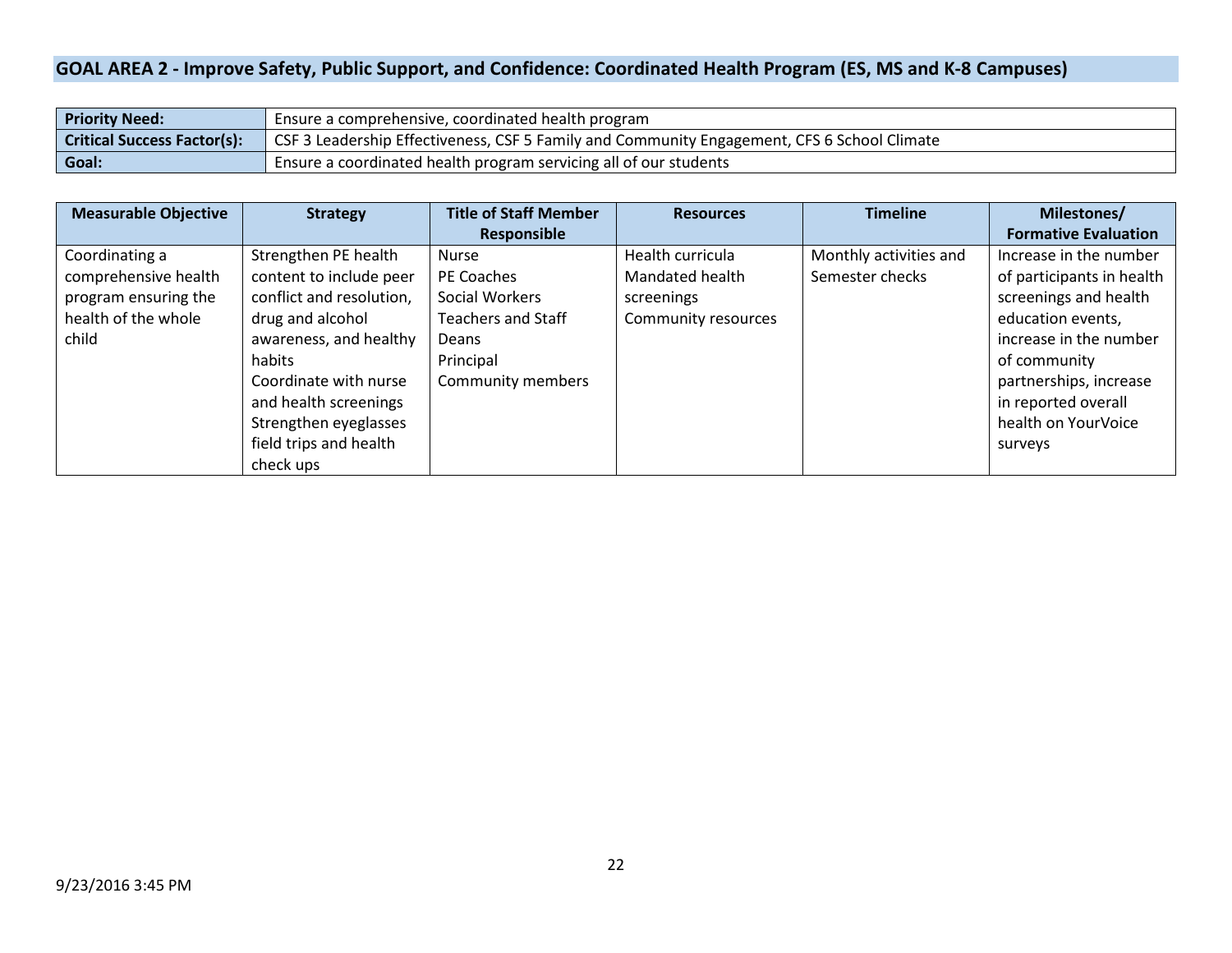### **GOAL AREA 2 - Improve Safety, Public Support, and Confidence: Coordinated Health Program (ES, MS and K-8 Campuses)**

| <b>Priority Need:</b>              | Ensure a comprehensive, coordinated health program                                          |
|------------------------------------|---------------------------------------------------------------------------------------------|
| <b>Critical Success Factor(s):</b> | CSF 3 Leadership Effectiveness, CSF 5 Family and Community Engagement, CFS 6 School Climate |
| Goal:                              | Ensure a coordinated health program servicing all of our students                           |

| <b>Measurable Objective</b> | <b>Strategy</b>          | <b>Title of Staff Member</b> | <b>Resources</b>    | <b>Timeline</b>        | Milestones/                 |
|-----------------------------|--------------------------|------------------------------|---------------------|------------------------|-----------------------------|
|                             |                          | Responsible                  |                     |                        | <b>Formative Evaluation</b> |
| Coordinating a              | Strengthen PE health     | <b>Nurse</b>                 | Health curricula    | Monthly activities and | Increase in the number      |
| comprehensive health        | content to include peer  | PE Coaches                   | Mandated health     | Semester checks        | of participants in health   |
| program ensuring the        | conflict and resolution, | Social Workers               | screenings          |                        | screenings and health       |
| health of the whole         | drug and alcohol         | Teachers and Staff           | Community resources |                        | education events,           |
| child                       | awareness, and healthy   | <b>Deans</b>                 |                     |                        | increase in the number      |
|                             | habits                   | Principal                    |                     |                        | of community                |
|                             | Coordinate with nurse    | Community members            |                     |                        | partnerships, increase      |
|                             | and health screenings    |                              |                     |                        | in reported overall         |
|                             | Strengthen eyeglasses    |                              |                     |                        | health on YourVoice         |
|                             | field trips and health   |                              |                     |                        | surveys                     |
|                             | check ups                |                              |                     |                        |                             |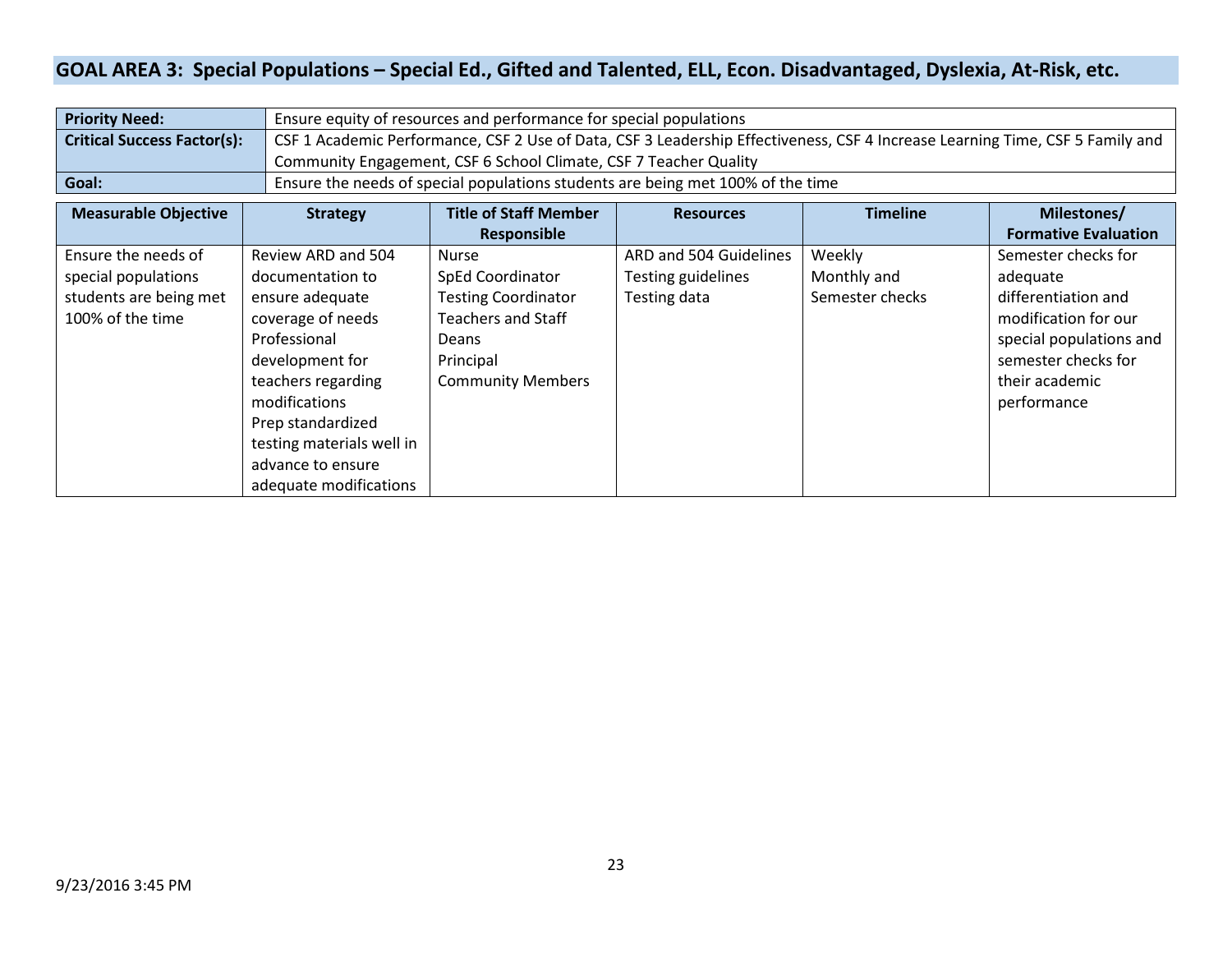### **GOAL AREA 3: Special Populations – Special Ed., Gifted and Talented, ELL, Econ. Disadvantaged, Dyslexia, At-Risk, etc.**

| <b>Priority Need:</b>              | Ensure equity of resources and performance for special populations                                                            |
|------------------------------------|-------------------------------------------------------------------------------------------------------------------------------|
| <b>Critical Success Factor(s):</b> | CSF 1 Academic Performance, CSF 2 Use of Data, CSF 3 Leadership Effectiveness, CSF 4 Increase Learning Time, CSF 5 Family and |
|                                    | Community Engagement, CSF 6 School Climate, CSF 7 Teacher Quality                                                             |
| Goal:                              | Ensure the needs of special populations students are being met 100% of the time                                               |

| <b>Measurable Objective</b> | <b>Strategy</b>           | <b>Title of Staff Member</b> | <b>Resources</b>       | <b>Timeline</b> | Milestones/                 |
|-----------------------------|---------------------------|------------------------------|------------------------|-----------------|-----------------------------|
|                             |                           | <b>Responsible</b>           |                        |                 | <b>Formative Evaluation</b> |
| Ensure the needs of         | Review ARD and 504        | Nurse                        | ARD and 504 Guidelines | Weekly          | Semester checks for         |
| special populations         | documentation to          | <b>SpEd Coordinator</b>      | Testing guidelines     | Monthly and     | adequate                    |
| students are being met      | ensure adequate           | <b>Testing Coordinator</b>   | Testing data           | Semester checks | differentiation and         |
| 100% of the time            | coverage of needs         | <b>Teachers and Staff</b>    |                        |                 | modification for our        |
|                             | Professional              | Deans                        |                        |                 | special populations and     |
|                             | development for           | Principal                    |                        |                 | semester checks for         |
|                             | teachers regarding        | <b>Community Members</b>     |                        |                 | their academic              |
|                             | modifications             |                              |                        |                 | performance                 |
|                             | Prep standardized         |                              |                        |                 |                             |
|                             | testing materials well in |                              |                        |                 |                             |
|                             | advance to ensure         |                              |                        |                 |                             |
|                             | adequate modifications    |                              |                        |                 |                             |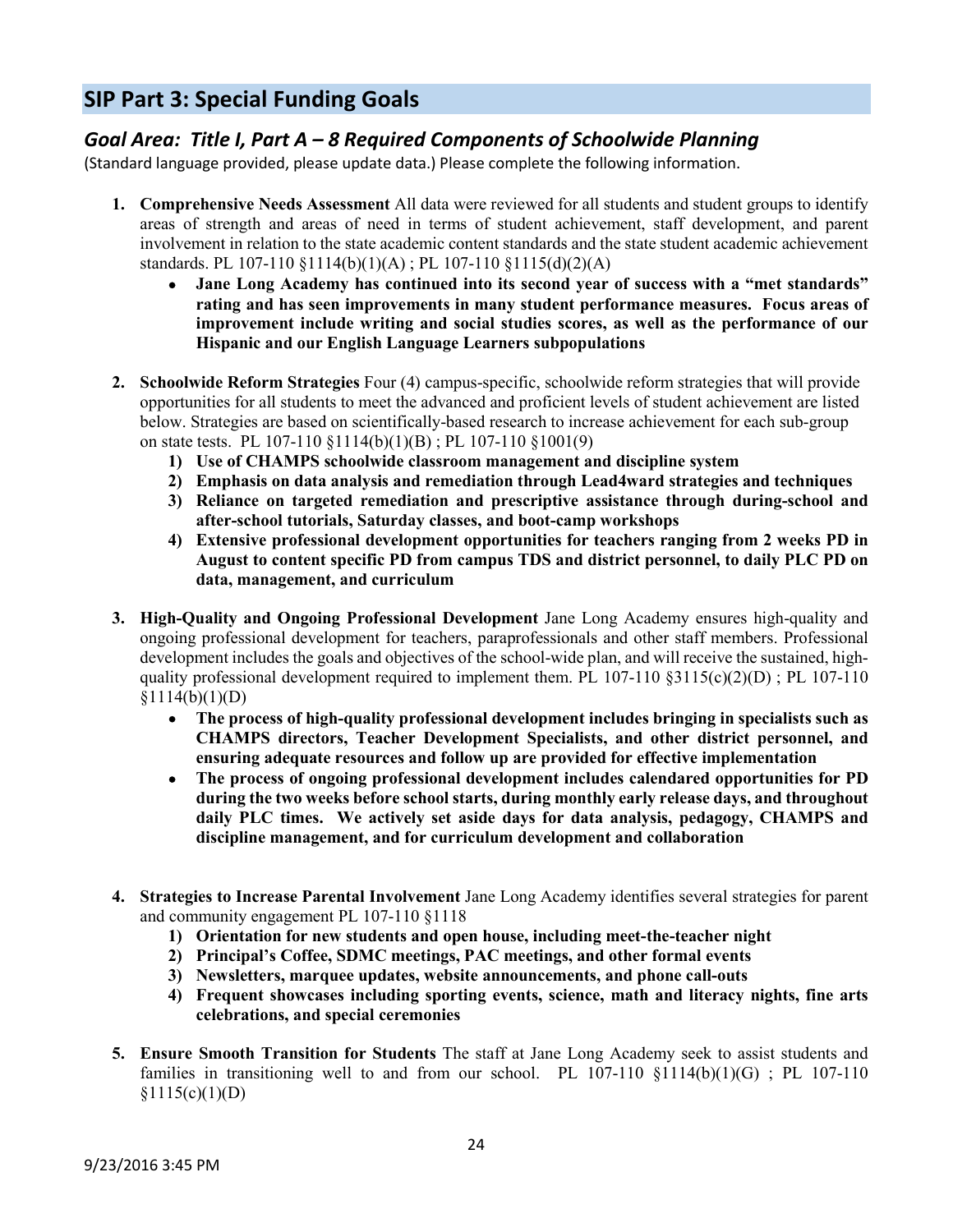### **SIP Part 3: Special Funding Goals**

### *Goal Area: Title I, Part A – 8 Required Components of Schoolwide Planning*

(Standard language provided, please update data.) Please complete the following information.

- **1. Comprehensive Needs Assessment** All data were reviewed for all students and student groups to identify areas of strength and areas of need in terms of student achievement, staff development, and parent involvement in relation to the state academic content standards and the state student academic achievement standards. PL 107-110 §1114(b)(1)(A) ; PL 107-110 §1115(d)(2)(A)
	- **Jane Long Academy has continued into its second year of success with a "met standards" rating and has seen improvements in many student performance measures. Focus areas of improvement include writing and social studies scores, as well as the performance of our Hispanic and our English Language Learners subpopulations**
- **2. Schoolwide Reform Strategies** Four (4) campus-specific, schoolwide reform strategies that will provide opportunities for all students to meet the advanced and proficient levels of student achievement are listed below. Strategies are based on scientifically-based research to increase achievement for each sub-group on state tests. PL 107-110 §1114(b)(1)(B) ; PL 107-110 §1001(9)
	- **1) Use of CHAMPS schoolwide classroom management and discipline system**
	- **2) Emphasis on data analysis and remediation through Lead4ward strategies and techniques**
	- **3) Reliance on targeted remediation and prescriptive assistance through during-school and after-school tutorials, Saturday classes, and boot-camp workshops**
	- **4) Extensive professional development opportunities for teachers ranging from 2 weeks PD in August to content specific PD from campus TDS and district personnel, to daily PLC PD on data, management, and curriculum**
- **3. High-Quality and Ongoing Professional Development** Jane Long Academy ensures high-quality and ongoing professional development for teachers, paraprofessionals and other staff members. Professional development includes the goals and objectives of the school-wide plan, and will receive the sustained, highquality professional development required to implement them. PL  $107-110 \text{ §}3115(c)(2)(D)$ ; PL  $107-110$  $$1114(b)(1)(D)$ 
	- **The process of high-quality professional development includes bringing in specialists such as CHAMPS directors, Teacher Development Specialists, and other district personnel, and ensuring adequate resources and follow up are provided for effective implementation**
	- **The process of ongoing professional development includes calendared opportunities for PD during the two weeks before school starts, during monthly early release days, and throughout daily PLC times. We actively set aside days for data analysis, pedagogy, CHAMPS and discipline management, and for curriculum development and collaboration**
- **4. Strategies to Increase Parental Involvement** Jane Long Academy identifies several strategies for parent and community engagement PL 107-110 §1118
	- **1) Orientation for new students and open house, including meet-the-teacher night**
	- **2) Principal's Coffee, SDMC meetings, PAC meetings, and other formal events**
	- **3) Newsletters, marquee updates, website announcements, and phone call-outs**
	- **4) Frequent showcases including sporting events, science, math and literacy nights, fine arts celebrations, and special ceremonies**
- **5. Ensure Smooth Transition for Students** The staff at Jane Long Academy seek to assist students and families in transitioning well to and from our school. PL 107-110  $$1114(b)(1)(G)$ ; PL 107-110  $§1115(c)(1)(D)$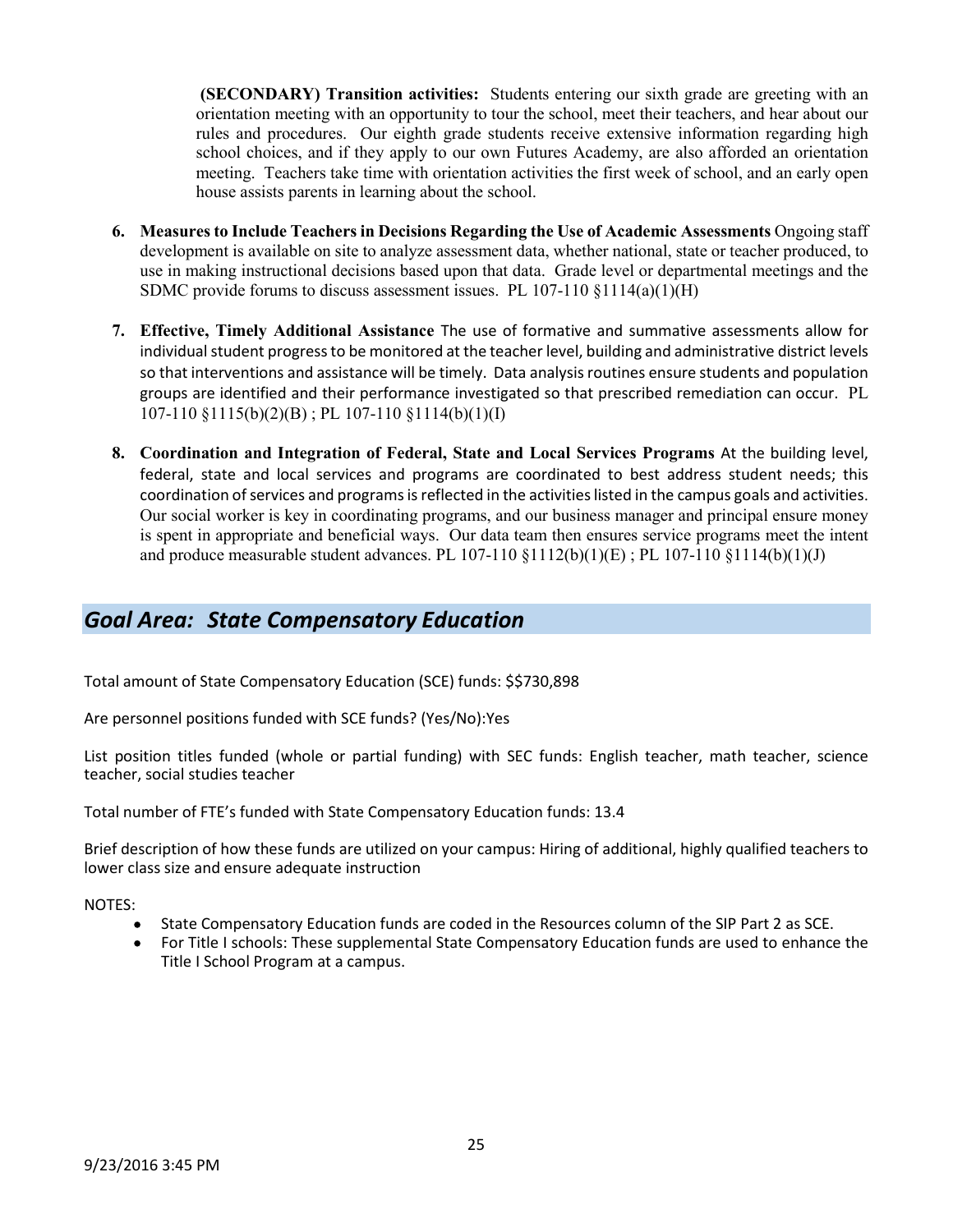**(SECONDARY) Transition activities:** Students entering our sixth grade are greeting with an orientation meeting with an opportunity to tour the school, meet their teachers, and hear about our rules and procedures. Our eighth grade students receive extensive information regarding high school choices, and if they apply to our own Futures Academy, are also afforded an orientation meeting. Teachers take time with orientation activities the first week of school, and an early open house assists parents in learning about the school.

- **6. Measures to Include Teachers in Decisions Regarding the Use of Academic Assessments** Ongoing staff development is available on site to analyze assessment data, whether national, state or teacher produced, to use in making instructional decisions based upon that data. Grade level or departmental meetings and the SDMC provide forums to discuss assessment issues. PL 107-110 §1114(a)(1)(H)
- **7. Effective, Timely Additional Assistance** The use of formative and summative assessments allow for individual student progress to be monitored at the teacher level, building and administrative district levels so that interventions and assistance will be timely. Data analysis routines ensure students and population groups are identified and their performance investigated so that prescribed remediation can occur. PL 107-110 §1115(b)(2)(B) ; PL 107-110 §1114(b)(1)(I)
- **8. Coordination and Integration of Federal, State and Local Services Programs** At the building level, federal, state and local services and programs are coordinated to best address student needs; this coordination of services and programs is reflected in the activities listed in the campus goals and activities. Our social worker is key in coordinating programs, and our business manager and principal ensure money is spent in appropriate and beneficial ways. Our data team then ensures service programs meet the intent and produce measurable student advances. PL 107-110  $\S1112(b)(1)(E)$ ; PL 107-110  $\S1114(b)(1)(J)$

### *Goal Area: State Compensatory Education*

Total amount of State Compensatory Education (SCE) funds: \$\$730,898

Are personnel positions funded with SCE funds? (Yes/No):Yes

List position titles funded (whole or partial funding) with SEC funds: English teacher, math teacher, science teacher, social studies teacher

Total number of FTE's funded with State Compensatory Education funds: 13.4

Brief description of how these funds are utilized on your campus: Hiring of additional, highly qualified teachers to lower class size and ensure adequate instruction

NOTES:

- State Compensatory Education funds are coded in the Resources column of the SIP Part 2 as SCE.
- For Title I schools: These supplemental State Compensatory Education funds are used to enhance the Title I School Program at a campus.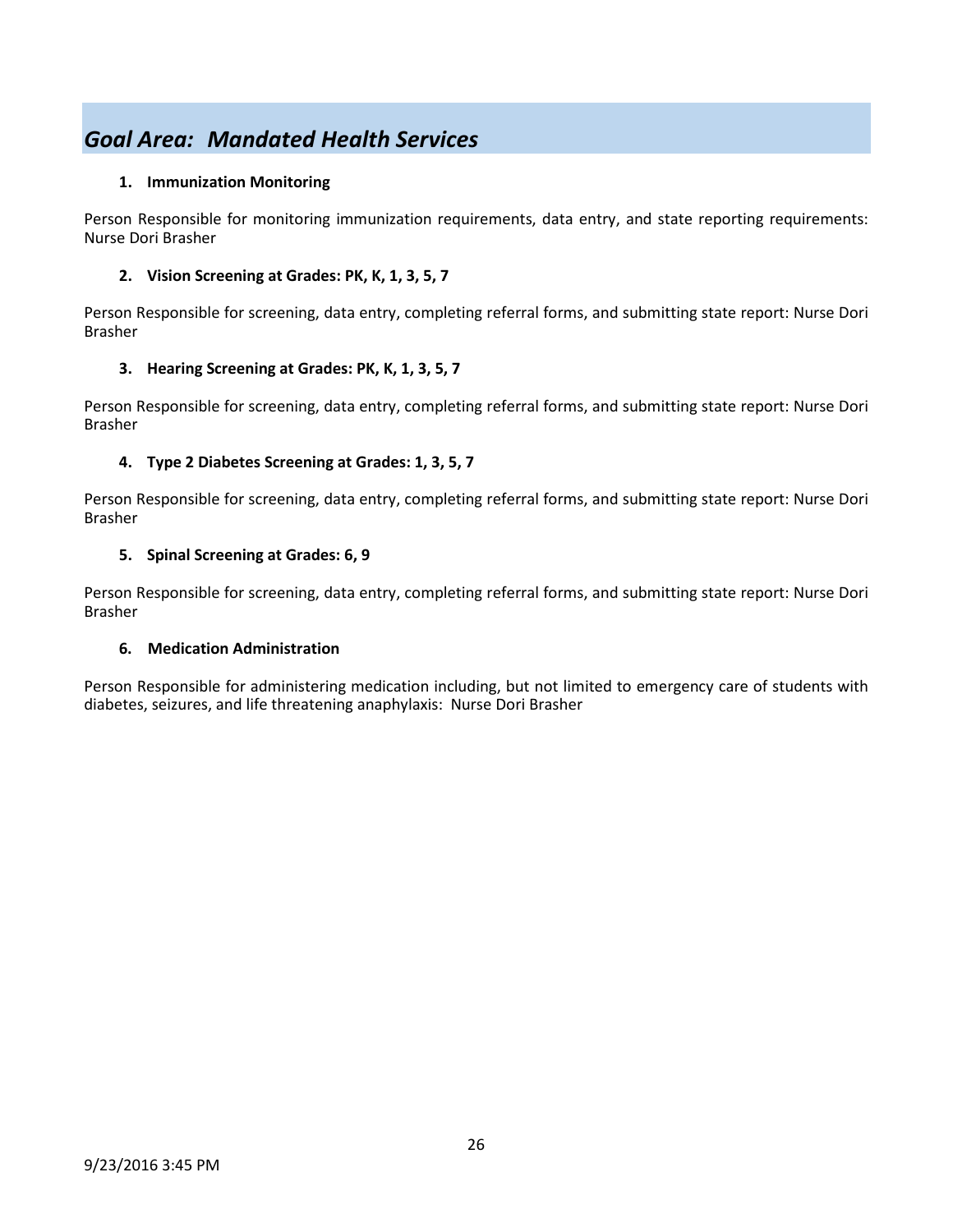### *Goal Area: Mandated Health Services*

### **1. Immunization Monitoring**

Person Responsible for monitoring immunization requirements, data entry, and state reporting requirements: Nurse Dori Brasher

### **2. Vision Screening at Grades: PK, K, 1, 3, 5, 7**

Person Responsible for screening, data entry, completing referral forms, and submitting state report: Nurse Dori Brasher

### **3. Hearing Screening at Grades: PK, K, 1, 3, 5, 7**

Person Responsible for screening, data entry, completing referral forms, and submitting state report: Nurse Dori Brasher

### **4. Type 2 Diabetes Screening at Grades: 1, 3, 5, 7**

Person Responsible for screening, data entry, completing referral forms, and submitting state report: Nurse Dori Brasher

### **5. Spinal Screening at Grades: 6, 9**

Person Responsible for screening, data entry, completing referral forms, and submitting state report: Nurse Dori Brasher

### **6. Medication Administration**

Person Responsible for administering medication including, but not limited to emergency care of students with diabetes, seizures, and life threatening anaphylaxis: Nurse Dori Brasher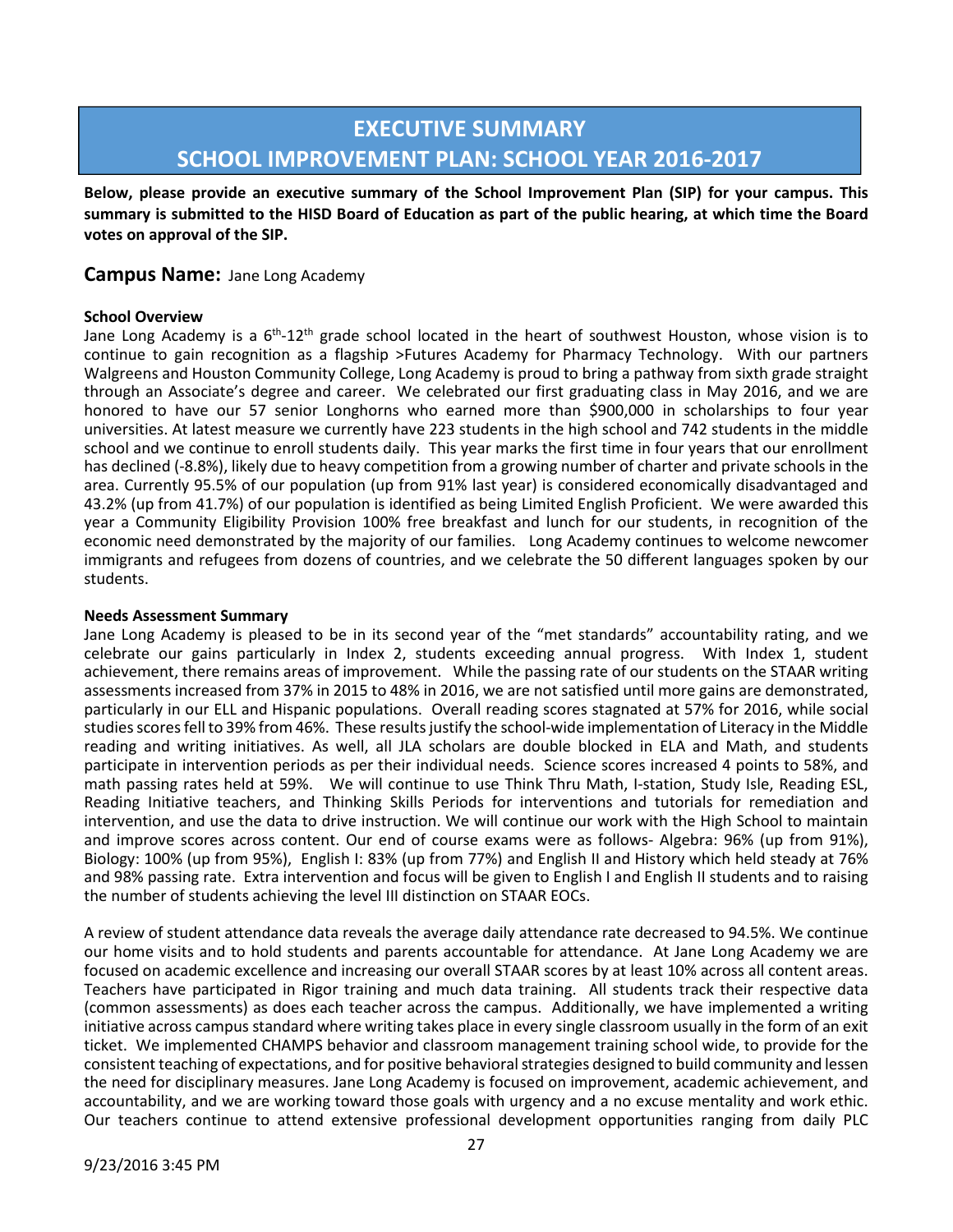### **EXECUTIVE SUMMARY SCHOOL IMPROVEMENT PLAN: SCHOOL YEAR 2016-2017**

**Below, please provide an executive summary of the School Improvement Plan (SIP) for your campus. This summary is submitted to the HISD Board of Education as part of the public hearing, at which time the Board votes on approval of the SIP.** 

### **Campus Name:** Jane Long Academy

#### **School Overview**

Jane Long Academy is a 6<sup>th</sup>-12<sup>th</sup> grade school located in the heart of southwest Houston, whose vision is to continue to gain recognition as a flagship >Futures Academy for Pharmacy Technology. With our partners Walgreens and Houston Community College, Long Academy is proud to bring a pathway from sixth grade straight through an Associate's degree and career. We celebrated our first graduating class in May 2016, and we are honored to have our 57 senior Longhorns who earned more than \$900,000 in scholarships to four year universities. At latest measure we currently have 223 students in the high school and 742 students in the middle school and we continue to enroll students daily. This year marks the first time in four years that our enrollment has declined (-8.8%), likely due to heavy competition from a growing number of charter and private schools in the area. Currently 95.5% of our population (up from 91% last year) is considered economically disadvantaged and 43.2% (up from 41.7%) of our population is identified as being Limited English Proficient. We were awarded this year a Community Eligibility Provision 100% free breakfast and lunch for our students, in recognition of the economic need demonstrated by the majority of our families. Long Academy continues to welcome newcomer immigrants and refugees from dozens of countries, and we celebrate the 50 different languages spoken by our students.

#### **Needs Assessment Summary**

Jane Long Academy is pleased to be in its second year of the "met standards" accountability rating, and we celebrate our gains particularly in Index 2, students exceeding annual progress. With Index 1, student achievement, there remains areas of improvement. While the passing rate of our students on the STAAR writing assessments increased from 37% in 2015 to 48% in 2016, we are not satisfied until more gains are demonstrated, particularly in our ELL and Hispanic populations. Overall reading scores stagnated at 57% for 2016, while social studies scores fell to 39% from 46%. These results justify the school-wide implementation of Literacy in the Middle reading and writing initiatives. As well, all JLA scholars are double blocked in ELA and Math, and students participate in intervention periods as per their individual needs. Science scores increased 4 points to 58%, and math passing rates held at 59%. We will continue to use Think Thru Math, I-station, Study Isle, Reading ESL, Reading Initiative teachers, and Thinking Skills Periods for interventions and tutorials for remediation and intervention, and use the data to drive instruction. We will continue our work with the High School to maintain and improve scores across content. Our end of course exams were as follows- Algebra: 96% (up from 91%), Biology: 100% (up from 95%), English I: 83% (up from 77%) and English II and History which held steady at 76% and 98% passing rate. Extra intervention and focus will be given to English I and English II students and to raising the number of students achieving the level III distinction on STAAR EOCs.

A review of student attendance data reveals the average daily attendance rate decreased to 94.5%. We continue our home visits and to hold students and parents accountable for attendance. At Jane Long Academy we are focused on academic excellence and increasing our overall STAAR scores by at least 10% across all content areas. Teachers have participated in Rigor training and much data training. All students track their respective data (common assessments) as does each teacher across the campus. Additionally, we have implemented a writing initiative across campus standard where writing takes place in every single classroom usually in the form of an exit ticket. We implemented CHAMPS behavior and classroom management training school wide, to provide for the consistent teaching of expectations, and for positive behavioral strategies designed to build community and lessen the need for disciplinary measures. Jane Long Academy is focused on improvement, academic achievement, and accountability, and we are working toward those goals with urgency and a no excuse mentality and work ethic. Our teachers continue to attend extensive professional development opportunities ranging from daily PLC